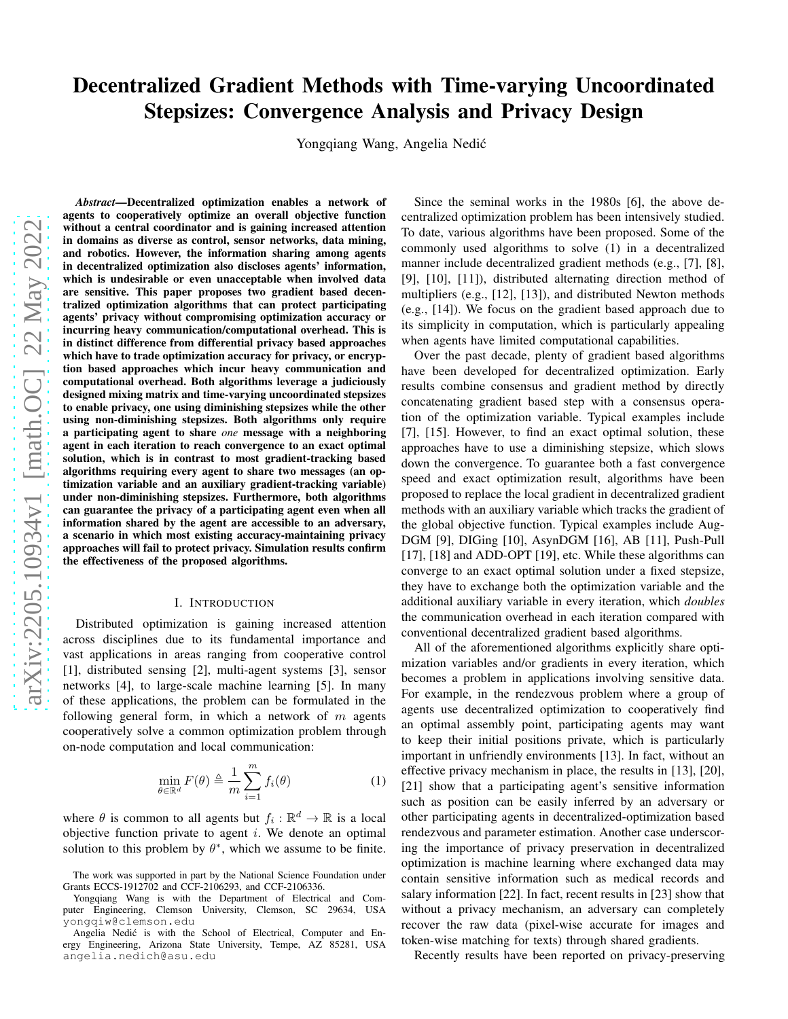# Decentralized Gradient Methods with Time-varying Uncoordinated Stepsizes: Convergence Analysis and Privacy Design

Yongqiang Wang, Angelia Nedić

*Abstract*—Decentralized optimization enables a network of agents to cooperatively optimize an overall objective function without a central coordinator and is gaining increased attention in domains as diverse as control, sensor networks, data mining, and robotics. However, the information sharing among agents in decentralized optimization also discloses agents' information, which is undesirable or even unacceptable when involved data are sensitive. This paper proposes two gradient based decentralized optimization algorithms that can protect participating agents' privacy without compromising optimization accuracy or incurring heavy communication/computational overhead. This is in distinct difference from differential privacy based approaches which have to trade optimization accuracy for privacy, or encryption based approaches which incur heavy communication and computational overhead. Both algorithms leverage a judiciously designed mixing matrix and time-varying uncoordinated stepsizes to enable privacy, one using diminishing stepsizes while the other using non-diminishing stepsizes. Both algorithms only require a participating agent to share *one* message with a neighboring agent in each iteration to reach convergence to an exact optimal solution, which is in contrast to most gradient-tracking based algorithms requiring every agent to share two messages (an optimization variable and an auxiliary gradient-tracking variable) under non-diminishing stepsizes. Furthermore, both algorithms can guarantee the privacy of a participating agent even when all information shared by the agent are accessible to an adversary, a scenario in which most existing accuracy-maintaining privacy approaches will fail to protect privacy. Simulation results confirm the effectiveness of the proposed algorithms.

## I. INTRODUCTION

Distributed optimization is gaining increased attention across disciplines due to its fundamental importance and vast applications in areas ranging from cooperative control [1], distributed sensing [2], multi-agent systems [3], sensor networks [4], to large-scale machine learning [5]. In many of these applications, the problem can be formulated in the following general form, in which a network of  $m$  agents cooperatively solve a common optimization problem through on-node computation and local communication:

$$
\min_{\theta \in \mathbb{R}^d} F(\theta) \triangleq \frac{1}{m} \sum_{i=1}^m f_i(\theta) \tag{1}
$$

where  $\theta$  is common to all agents but  $f_i : \mathbb{R}^d \to \mathbb{R}$  is a local objective function private to agent  $i$ . We denote an optimal solution to this problem by  $\theta^*$ , which we assume to be finite.

Since the seminal works in the 1980s [6], the above decentralized optimization problem has been intensively studied. To date, various algorithms have been proposed. Some of the commonly used algorithms to solve (1) in a decentralized manner include decentralized gradient methods (e.g., [7], [8], [9], [10], [11]), distributed alternating direction method of multipliers (e.g., [12], [13]), and distributed Newton methods (e.g., [14]). We focus on the gradient based approach due to its simplicity in computation, which is particularly appealing when agents have limited computational capabilities.

Over the past decade, plenty of gradient based algorithms have been developed for decentralized optimization. Early results combine consensus and gradient method by directly concatenating gradient based step with a consensus operation of the optimization variable. Typical examples include [7], [15]. However, to find an exact optimal solution, these approaches have to use a diminishing stepsize, which slows down the convergence. To guarantee both a fast convergence speed and exact optimization result, algorithms have been proposed to replace the local gradient in decentralized gradient methods with an auxiliary variable which tracks the gradient of the global objective function. Typical examples include Aug-DGM [9], DIGing [10], AsynDGM [16], AB [11], Push-Pull [17], [18] and ADD-OPT [19], etc. While these algorithms can converge to an exact optimal solution under a fixed stepsize, they have to exchange both the optimization variable and the additional auxiliary variable in every iteration, which *doubles* the communication overhead in each iteration compared with conventional decentralized gradient based algorithms.

All of the aforementioned algorithms explicitly share optimization variables and/or gradients in every iteration, which becomes a problem in applications involving sensitive data. For example, in the rendezvous problem where a group of agents use decentralized optimization to cooperatively find an optimal assembly point, participating agents may want to keep their initial positions private, which is particularly important in unfriendly environments [13]. In fact, without an effective privacy mechanism in place, the results in [13], [20], [21] show that a participating agent's sensitive information such as position can be easily inferred by an adversary or other participating agents in decentralized-optimization based rendezvous and parameter estimation. Another case underscoring the importance of privacy preservation in decentralized optimization is machine learning where exchanged data may contain sensitive information such as medical records and salary information [22]. In fact, recent results in [23] show that without a privacy mechanism, an adversary can completely recover the raw data (pixel-wise accurate for images and token-wise matching for texts) through shared gradients.

Recently results have been reported on privacy-preserving

The work was supported in part by the National Science Foundation under Grants ECCS-1912702 and CCF-2106293, and CCF-2106336.

Yongqiang Wang is with the Department of Electrical and Computer Engineering, Clemson University, Clemson, SC 29634, USA yongqiw@clemson.edu

Angelia Nedić is with the School of Electrical, Computer and Energy Engineering, Arizona State University, Tempe, AZ 85281, USA angelia.nedich@asu.edu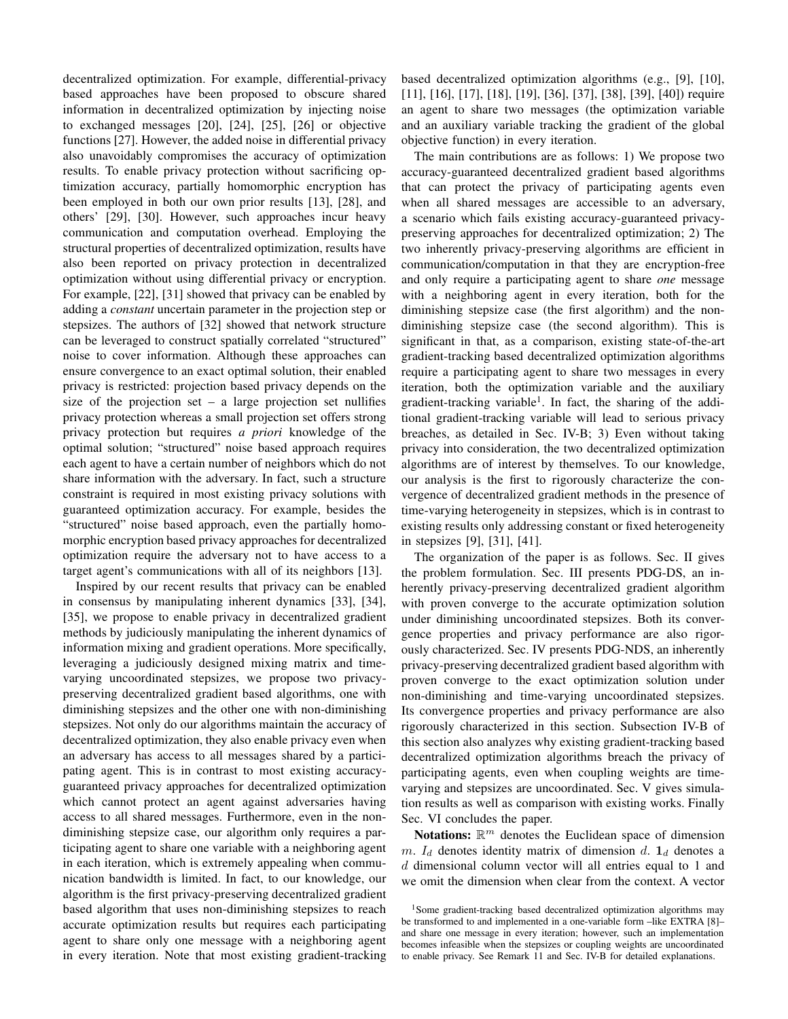decentralized optimization. For example, differential-privacy based approaches have been proposed to obscure shared information in decentralized optimization by injecting noise to exchanged messages [20], [24], [25], [26] or objective functions [27]. However, the added noise in differential privacy also unavoidably compromises the accuracy of optimization results. To enable privacy protection without sacrificing optimization accuracy, partially homomorphic encryption has been employed in both our own prior results [13], [28], and others' [29], [30]. However, such approaches incur heavy communication and computation overhead. Employing the structural properties of decentralized optimization, results have also been reported on privacy protection in decentralized optimization without using differential privacy or encryption. For example, [22], [31] showed that privacy can be enabled by adding a *constant* uncertain parameter in the projection step or stepsizes. The authors of [32] showed that network structure can be leveraged to construct spatially correlated "structured" noise to cover information. Although these approaches can ensure convergence to an exact optimal solution, their enabled privacy is restricted: projection based privacy depends on the size of the projection set – a large projection set nullifies privacy protection whereas a small projection set offers strong privacy protection but requires *a priori* knowledge of the optimal solution; "structured" noise based approach requires each agent to have a certain number of neighbors which do not share information with the adversary. In fact, such a structure constraint is required in most existing privacy solutions with guaranteed optimization accuracy. For example, besides the "structured" noise based approach, even the partially homomorphic encryption based privacy approaches for decentralized optimization require the adversary not to have access to a target agent's communications with all of its neighbors [13].

Inspired by our recent results that privacy can be enabled in consensus by manipulating inherent dynamics [33], [34], [35], we propose to enable privacy in decentralized gradient methods by judiciously manipulating the inherent dynamics of information mixing and gradient operations. More specifically, leveraging a judiciously designed mixing matrix and timevarying uncoordinated stepsizes, we propose two privacypreserving decentralized gradient based algorithms, one with diminishing stepsizes and the other one with non-diminishing stepsizes. Not only do our algorithms maintain the accuracy of decentralized optimization, they also enable privacy even when an adversary has access to all messages shared by a participating agent. This is in contrast to most existing accuracyguaranteed privacy approaches for decentralized optimization which cannot protect an agent against adversaries having access to all shared messages. Furthermore, even in the nondiminishing stepsize case, our algorithm only requires a participating agent to share one variable with a neighboring agent in each iteration, which is extremely appealing when communication bandwidth is limited. In fact, to our knowledge, our algorithm is the first privacy-preserving decentralized gradient based algorithm that uses non-diminishing stepsizes to reach accurate optimization results but requires each participating agent to share only one message with a neighboring agent in every iteration. Note that most existing gradient-tracking based decentralized optimization algorithms (e.g., [9], [10], [11], [16], [17], [18], [19], [36], [37], [38], [39], [40]) require an agent to share two messages (the optimization variable and an auxiliary variable tracking the gradient of the global objective function) in every iteration.

The main contributions are as follows: 1) We propose two accuracy-guaranteed decentralized gradient based algorithms that can protect the privacy of participating agents even when all shared messages are accessible to an adversary, a scenario which fails existing accuracy-guaranteed privacypreserving approaches for decentralized optimization; 2) The two inherently privacy-preserving algorithms are efficient in communication/computation in that they are encryption-free and only require a participating agent to share *one* message with a neighboring agent in every iteration, both for the diminishing stepsize case (the first algorithm) and the nondiminishing stepsize case (the second algorithm). This is significant in that, as a comparison, existing state-of-the-art gradient-tracking based decentralized optimization algorithms require a participating agent to share two messages in every iteration, both the optimization variable and the auxiliary gradient-tracking variable<sup>1</sup>. In fact, the sharing of the additional gradient-tracking variable will lead to serious privacy breaches, as detailed in Sec. IV-B; 3) Even without taking privacy into consideration, the two decentralized optimization algorithms are of interest by themselves. To our knowledge, our analysis is the first to rigorously characterize the convergence of decentralized gradient methods in the presence of time-varying heterogeneity in stepsizes, which is in contrast to existing results only addressing constant or fixed heterogeneity in stepsizes [9], [31], [41].

The organization of the paper is as follows. Sec. II gives the problem formulation. Sec. III presents PDG-DS, an inherently privacy-preserving decentralized gradient algorithm with proven converge to the accurate optimization solution under diminishing uncoordinated stepsizes. Both its convergence properties and privacy performance are also rigorously characterized. Sec. IV presents PDG-NDS, an inherently privacy-preserving decentralized gradient based algorithm with proven converge to the exact optimization solution under non-diminishing and time-varying uncoordinated stepsizes. Its convergence properties and privacy performance are also rigorously characterized in this section. Subsection IV-B of this section also analyzes why existing gradient-tracking based decentralized optimization algorithms breach the privacy of participating agents, even when coupling weights are timevarying and stepsizes are uncoordinated. Sec. V gives simulation results as well as comparison with existing works. Finally Sec. VI concludes the paper.

Notations:  $\mathbb{R}^m$  denotes the Euclidean space of dimension m.  $I_d$  denotes identity matrix of dimension d.  $\mathbf{1}_d$  denotes a d dimensional column vector will all entries equal to 1 and we omit the dimension when clear from the context. A vector

<sup>&</sup>lt;sup>1</sup>Some gradient-tracking based decentralized optimization algorithms may be transformed to and implemented in a one-variable form –like EXTRA [8]– and share one message in every iteration; however, such an implementation becomes infeasible when the stepsizes or coupling weights are uncoordinated to enable privacy. See Remark 11 and Sec. IV-B for detailed explanations.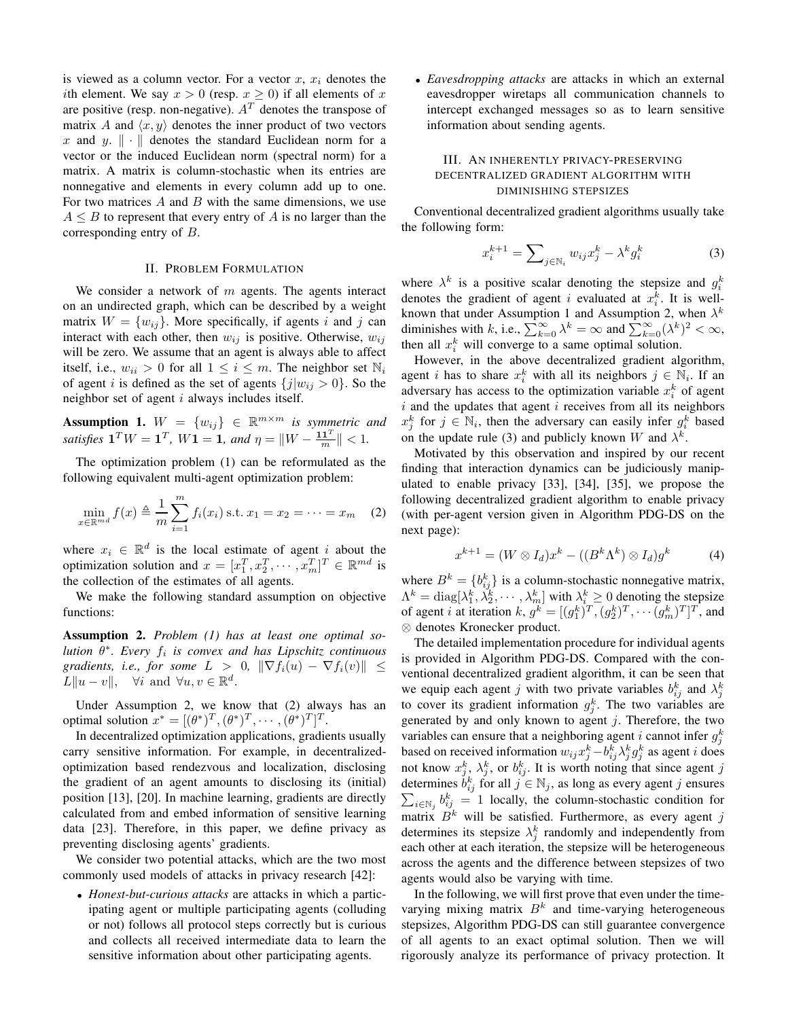is viewed as a column vector. For a vector  $x, x_i$  denotes the ith element. We say  $x > 0$  (resp.  $x \ge 0$ ) if all elements of x are positive (resp. non-negative).  $A<sup>T</sup>$  denotes the transpose of matrix A and  $\langle x, y \rangle$  denotes the inner product of two vectors x and y.  $\|\cdot\|$  denotes the standard Euclidean norm for a vector or the induced Euclidean norm (spectral norm) for a matrix. A matrix is column-stochastic when its entries are nonnegative and elements in every column add up to one. For two matrices  $A$  and  $B$  with the same dimensions, we use  $A \leq B$  to represent that every entry of A is no larger than the corresponding entry of B.

## II. PROBLEM FORMULATION

We consider a network of  $m$  agents. The agents interact on an undirected graph, which can be described by a weight matrix  $W = \{w_{ij}\}\$ . More specifically, if agents i and j can interact with each other, then  $w_{ij}$  is positive. Otherwise,  $w_{ij}$ will be zero. We assume that an agent is always able to affect itself, i.e.,  $w_{ii} > 0$  for all  $1 \le i \le m$ . The neighbor set  $\mathbb{N}_i$ of agent i is defined as the set of agents  ${j|w_{ij} > 0}$ . So the neighbor set of agent  $i$  always includes itself.

**Assumption 1.**  $W = \{w_{ij}\}\in \mathbb{R}^{m \times m}$  is symmetric and *satisfies*  $\mathbf{1}^T W = \mathbf{1}^T$ ,  $W \mathbf{1} = \mathbf{1}$ , and  $\eta = \|W - \frac{\mathbf{1} \mathbf{1}^T}{m}\| < 1$ .

The optimization problem (1) can be reformulated as the following equivalent multi-agent optimization problem:

$$
\min_{x \in \mathbb{R}^{md}} f(x) \triangleq \frac{1}{m} \sum_{i=1}^{m} f_i(x_i) \text{ s.t. } x_1 = x_2 = \dots = x_m \quad (2)
$$

where  $x_i \in \mathbb{R}^d$  is the local estimate of agent i about the optimization solution and  $x = [x_1^T, x_2^T, \cdots, x_m^T]^T \in \mathbb{R}^{md}$  is the collection of the estimates of all agents.

We make the following standard assumption on objective functions:

Assumption 2. *Problem (1) has at least one optimal solution* θ ∗ *. Every* f<sup>i</sup> *is convex and has Lipschitz continuous gradients, i.e., for some*  $L > 0$ ,  $\|\nabla f_i(u) - \nabla f_i(v)\|$   $\leq$  $L\|u-v\|, \quad \forall i \text{ and } \forall u, v \in \mathbb{R}^d.$ 

Under Assumption 2, we know that (2) always has an optimal solution  $x^* = [(\theta^*)^T, (\theta^*)^T, \cdots, (\theta^*)^T]^T$ .

In decentralized optimization applications, gradients usually carry sensitive information. For example, in decentralizedoptimization based rendezvous and localization, disclosing the gradient of an agent amounts to disclosing its (initial) position [13], [20]. In machine learning, gradients are directly calculated from and embed information of sensitive learning data [23]. Therefore, in this paper, we define privacy as preventing disclosing agents' gradients.

We consider two potential attacks, which are the two most commonly used models of attacks in privacy research [42]:

• *Honest-but-curious attacks* are attacks in which a participating agent or multiple participating agents (colluding or not) follows all protocol steps correctly but is curious and collects all received intermediate data to learn the sensitive information about other participating agents.

• *Eavesdropping attacks* are attacks in which an external eavesdropper wiretaps all communication channels to intercept exchanged messages so as to learn sensitive information about sending agents.

## III. AN INHERENTLY PRIVACY-PRESERVING DECENTRALIZED GRADIENT ALGORITHM WITH DIMINISHING STEPSIZES

Conventional decentralized gradient algorithms usually take the following form:

$$
x_i^{k+1} = \sum_{j \in \mathbb{N}_i} w_{ij} x_j^k - \lambda^k g_i^k \tag{3}
$$

where  $\lambda^k$  is a positive scalar denoting the stepsize and  $g_i^k$ denotes the gradient of agent i evaluated at  $x_i^k$ . It is well-Euroles the gradient of agent *t* evaluated at  $x_i$ . It is well-<br>known that under Assumption 1 and Assumption 2, when  $\lambda^k$ diminishes with k, i.e.,  $\sum_{k=0}^{\infty} \lambda^k = \infty$  and  $\sum_{k=0}^{\infty} (\lambda^k)^2 < \infty$ , then all  $x_i^k$  will converge to a same optimal solution.

However, in the above decentralized gradient algorithm, agent *i* has to share  $x_i^k$  with all its neighbors  $j \in N_i$ . If an adversary has access to the optimization variable  $x_i^k$  of agent  $i$  and the updates that agent  $i$  receives from all its neighbors  $x_j^k$  for  $j \in \mathbb{N}_i$ , then the adversary can easily infer  $g_i^k$  based on the update rule (3) and publicly known W and  $\lambda^k$ .

Motivated by this observation and inspired by our recent finding that interaction dynamics can be judiciously manipulated to enable privacy [33], [34], [35], we propose the following decentralized gradient algorithm to enable privacy (with per-agent version given in Algorithm PDG-DS on the next page):

$$
x^{k+1} = (W \otimes I_d)x^k - ((B^k \Lambda^k) \otimes I_d)g^k \tag{4}
$$

where  $B^k = \{b_{ij}^k\}$  is a column-stochastic nonnegative matrix,  $\Lambda^k = \text{diag}[\lambda_1^k, \lambda_2^k, \cdots, \lambda_m^k]$  with  $\lambda_i^k \geq 0$  denoting the stepsize of agent *i* at iteration *k*,  $g^k = [(g_1^k)^T, (g_2^k)^T, \dots (g_m^k)^T]^T$ , and ⊗ denotes Kronecker product.

The detailed implementation procedure for individual agents is provided in Algorithm PDG-DS. Compared with the conventional decentralized gradient algorithm, it can be seen that we equip each agent j with two private variables  $b_{ij}^k$  and  $\lambda_j^k$ to cover its gradient information  $g_j^k$ . The two variables are generated by and only known to agent  $j$ . Therefore, the two variables can ensure that a neighboring agent i cannot infer  $g_j^k$ based on received information  $w_{ij}x_j^k - b_{ij}^k \lambda_j^k g_j^k$  as agent *i* does not know  $x_j^k$ ,  $\lambda_j^k$ , or  $b_{ij}^k$ . It is worth noting that since agent j determines  $b_{ij}^k$  for all  $j \in \mathbb{N}_j$ , as long as every agent j ensures  $\sum_{i\in\mathbb{N}_j} b_{ij}^k = 1$  locally, the column-stochastic condition for matrix  $B^k$  will be satisfied. Furthermore, as every agent j determines its stepsize  $\lambda_j^k$  randomly and independently from each other at each iteration, the stepsize will be heterogeneous across the agents and the difference between stepsizes of two agents would also be varying with time.

In the following, we will first prove that even under the timevarying mixing matrix  $B<sup>k</sup>$  and time-varying heterogeneous stepsizes, Algorithm PDG-DS can still guarantee convergence of all agents to an exact optimal solution. Then we will rigorously analyze its performance of privacy protection. It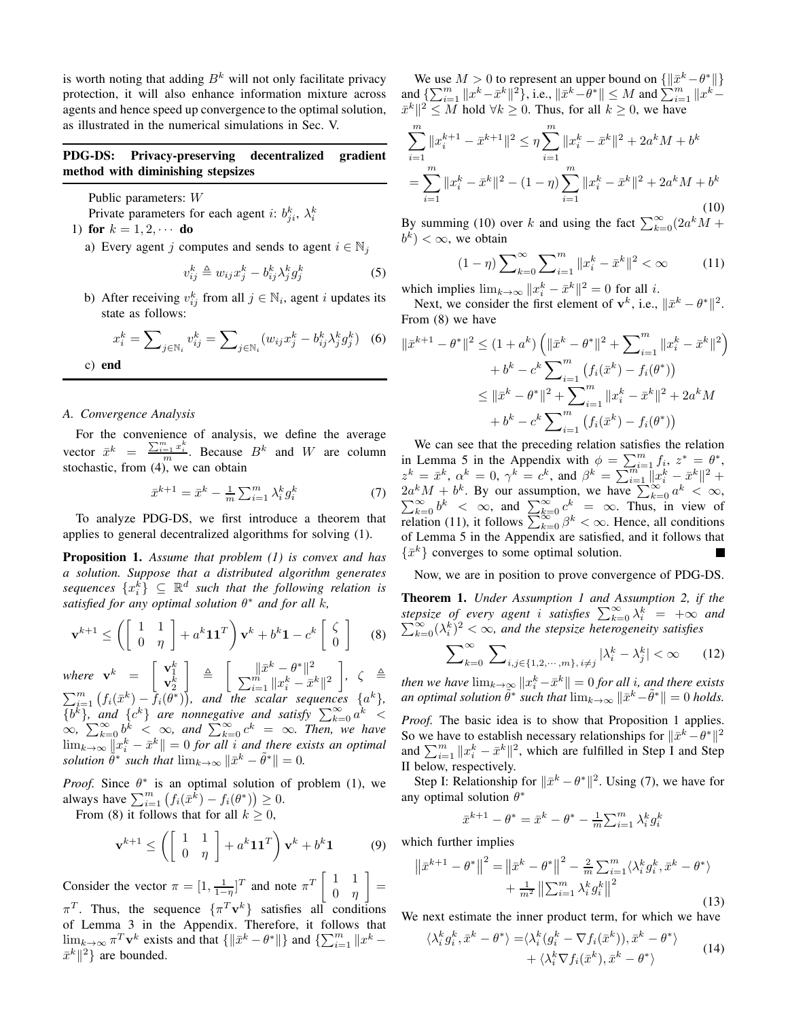is worth noting that adding  $B^k$  will not only facilitate privacy protection, it will also enhance information mixture across agents and hence speed up convergence to the optimal solution, as illustrated in the numerical simulations in Sec. V.

## PDG-DS: Privacy-preserving decentralized gradient method with diminishing stepsizes

Public parameters: W

Private parameters for each agent *i*:  $b_{ji}^k$ ,  $\lambda_i^k$ 

1) for  $k = 1, 2, \cdots$  do

a) Every agent j computes and sends to agent  $i \in \mathbb{N}_j$ 

$$
v_{ij}^k \triangleq w_{ij} x_j^k - b_{ij}^k \lambda_j^k g_j^k \tag{5}
$$

b) After receiving  $v_{ij}^k$  from all  $j \in \mathbb{N}_i$ , agent i updates its state as follows:

$$
x_i^k = \sum_{j \in \mathbb{N}_i} v_{ij}^k = \sum_{j \in \mathbb{N}_i} (w_{ij} x_j^k - b_{ij}^k \lambda_j^k g_j^k) \quad (6)
$$

c) end

## *A. Convergence Analysis*

For the convenience of analysis, we define the average vector  $\bar{x}^k = \frac{\sum_{i=1}^m x_i^k}{m}$ . Because  $B^k$  and W are column stochastic, from (4), we can obtain

$$
\bar{x}^{k+1} = \bar{x}^k - \frac{1}{m} \sum_{i=1}^m \lambda_i^k g_i^k
$$
 (7)

To analyze PDG-DS, we first introduce a theorem that applies to general decentralized algorithms for solving (1).

Proposition 1. *Assume that problem (1) is convex and has a solution. Suppose that a distributed algorithm generates*  $sequence \{x_i^{\overline{k}}\} \subseteq \mathbb{R}^d$  such that the following relation is *satisfied for any optimal solution* θ <sup>∗</sup> *and for all* k*,*

$$
\mathbf{v}^{k+1} \le \left( \begin{bmatrix} 1 & 1 \\ 0 & \eta \end{bmatrix} + a^k \mathbf{1} \mathbf{1}^T \right) \mathbf{v}^k + b^k \mathbf{1} - c^k \begin{bmatrix} \zeta \\ 0 \end{bmatrix} \tag{8}
$$

where  $\mathbf{v}^k$  =  $\begin{bmatrix} \mathbf{v}_1^k \\ \mathbf{v}_2^k \end{bmatrix}$  $\begin{array}{ccc} \end{array} \begin{array}{c} \triangle & \end{array} \begin{array}{c} \Box \ \Box \ \Box \ \end{array} \begin{array}{c} \triangle^k - \theta^* \end{array}$  $\sum_{i=1}^{m} ||x_i^k - \bar{x}^k||^2$  $\Big\}, \ \ \zeta \ \triangleq$  $\sum_{i=1}^{m} (f_i(\bar{x}^k) - \bar{f}_i(\bar{\theta}^*))$ , and the scalar sequences  $\{a^k\}$ ,  ${b^k}$ , and  ${c^k}$  are nonnegative and satisfy  $\sum_{k=0}^{\infty} a^k$  <  $\infty$ ,  $\sum_{k=0}^{\infty} b^k < \infty$ , and  $\sum_{k=0}^{\infty} c^k = \infty$ . Then, we have  $\lim_{k\to\infty} ||x_i^k - \bar{x}^k|| = 0$  *for all* i *and there exists an optimal solution*  $\tilde{\theta}^*$  *such that*  $\lim_{k\to\infty} \|\bar{x}^k - \tilde{\theta}^*\| = 0$ *.* 

*Proof.* Since  $\theta^*$  is an optimal solution of problem (1), we always have  $\sum_{i=1}^m (f_i(\bar{x}^{\tilde{k}}) - f_i(\theta^*)) \ge 0$ .

From (8) it follows that for all  $k \geq 0$ ,

$$
\mathbf{v}^{k+1} \le \left( \begin{bmatrix} 1 & 1 \\ 0 & \eta \end{bmatrix} + a^k \mathbf{1} \mathbf{1}^T \right) \mathbf{v}^k + b^k \mathbf{1}
$$
 (9)

Consider the vector  $\pi = \left[1, \frac{1}{1-\eta}\right]^T$  and note  $\pi^T \begin{bmatrix} 1 & 1 \\ 0 & \eta \end{bmatrix}$  $0 \quad \eta$  $\Big] =$  $\pi^T$ . Thus, the sequence  $\{\pi^T \mathbf{v}^k\}$  satisfies all conditions of Lemma 3 in the Appendix. Therefore, it follows that  $\lim_{k\to\infty} \pi^T \mathbf{v}^k$  exists and that  $\{\|\bar{x}^k - \theta^*\|\}$  and  $\{\sum_{i=1}^m \|x^k - \theta^*\| \}$  $\bar{x}^k\|^2$  are bounded.

We use  $M > 0$  to represent an upper bound on  $\{\|\bar{x}^k - \theta^*\|\}$ and  $\{\sum_{i=1}^m ||x^k - \bar{x}^k||^2\}$ , i.e.,  $\|\bar{x}^k - \hat{\theta}^*\| \leq M$  and  $\sum_{i=1}^m ||x^k - \hat{\theta}^*||$  $\|\bar{x}^k\|^2 \leq M$  hold  $\forall k \geq 0$ . Thus, for all  $k \geq 0$ , we have

$$
\sum_{i=1}^{m} \|x_i^{k+1} - \bar{x}^{k+1}\|^2 \le \eta \sum_{i=1}^{m} \|x_i^k - \bar{x}^k\|^2 + 2a^k M + b^k
$$
  
= 
$$
\sum_{i=1}^{m} \|x_i^k - \bar{x}^k\|^2 - (1 - \eta) \sum_{i=1}^{m} \|x_i^k - \bar{x}^k\|^2 + 2a^k M + b^k
$$
(10)

By summing (10) over k and using the fact  $\sum_{k=0}^{\infty} (2a^k M +$  $(b^k) < \infty$ , we obtain

$$
(1 - \eta) \sum_{k=0}^{\infty} \sum_{i=1}^{m} ||x_i^k - \bar{x}^k||^2 < \infty
$$
 (11)

which implies  $\lim_{k \to \infty} ||x_i^k - \bar{x}^k||^2 = 0$  for all *i*.

Next, we consider the first element of  $\mathbf{v}^k$ , i.e.,  $\|\bar{x}^k - \theta^*\|^2$ . From (8) we have

$$
\|\bar{x}^{k+1} - \theta^*\|^2 \le (1 + a^k) \left( \|\bar{x}^k - \theta^*\|^2 + \sum_{i=1}^m \|x_i^k - \bar{x}^k\|^2 \right) + b^k - c^k \sum_{i=1}^m \left( f_i(\bar{x}^k) - f_i(\theta^*) \right) \le \|\bar{x}^k - \theta^*\|^2 + \sum_{i=1}^m \|x_i^k - \bar{x}^k\|^2 + 2a^k M + b^k - c^k \sum_{i=1}^m \left( f_i(\bar{x}^k) - f_i(\theta^*) \right)
$$

We can see that the preceding relation satisfies the relation in Lemma 5 in the Appendix with  $\phi = \sum_{i=1}^{m} f_i$ ,  $z^* = \theta^*$ ,  $z^k = \bar{x}^k$ ,  $\alpha^k = 0$ ,  $\gamma^k = c^k$ , and  $\beta^k = \sum_{i=1}^{m^k-1} ||x_i^k - \bar{x}^k||^2 +$  $2a^k M + b^k$ . By our assumption, we have  $\sum_{k=0}^{\infty} a^k$  $\sum$  ${}_{k}^{k}M + b^{k}$ . By our assumption, we have  $\sum_{k=0}^{\infty} a^{k} < \infty$ ,  $\sum_{k=0}^{\infty} b^{k} < \infty$ , and  $\sum_{k=0}^{\infty} c^{k} = \infty$ . Thus, in view of relation (11), it follows  $\sum_{k=0}^{\infty} \beta^k < \infty$ . Hence, all conditions of Lemma 5 in the Appendix are satisfied, and it follows that  $\{\bar{x}^k\}$  converges to some optimal solution.

Now, we are in position to prove convergence of PDG-DS.

Theorem 1. *Under Assumption 1 and Assumption 2, if the stepsize of every agent i satisfies*  $\sum_{k=0}^{\infty} \lambda_i^k = +\infty$  *and*  $\sum_{k=0}^{\infty} (\lambda_i^k)^2 < \infty$ , and the stepsize heterogeneity satisfies

$$
\sum_{k=0}^{\infty} \sum_{i,j \in \{1,2,\cdots,m\}, i \neq j} |\lambda_i^k - \lambda_j^k| < \infty \qquad (12)
$$

*then we have*  $\lim_{k\to\infty}||x_i^k - \bar{x}^k|| = 0$  *for all i*, and there exists an optimal solution  $\tilde{\theta}^*$  such that  $\lim_{k\to\infty} \|\bar{x}^k - \tilde{\theta}^*\| = 0$  holds.

*Proof.* The basic idea is to show that Proposition 1 applies. So we have to establish necessary relationships for  $\Vert \bar{x}^k - \theta^* \Vert^2$ and  $\sum_{i=1}^{m} ||x_i^k - \bar{x}^k||^2$ , which are fulfilled in Step I and Step II below, respectively.

Step I: Relationship for  $||\bar{x}^k - \theta^*||^2$ . Using (7), we have for any optimal solution  $\theta^*$ 

$$
\bar{x}^{k+1}-\theta^*=\bar{x}^k-\theta^*-\tfrac{1}{m}\textstyle{\sum}_{i=1}^m \lambda_i^k g_i^k
$$

which further implies

$$
\left\| \bar{x}^{k+1} - \theta^* \right\|^2 = \left\| \bar{x}^k - \theta^* \right\|^2 - \frac{2}{m} \sum_{i=1}^m \langle \lambda_i^k g_i^k, \bar{x}^k - \theta^* \rangle + \frac{1}{m^2} \left\| \sum_{i=1}^m \lambda_i^k g_i^k \right\|^2 \tag{13}
$$

We next estimate the inner product term, for which we have

$$
\langle \lambda_i^k g_i^k, \bar{x}^k - \theta^* \rangle = \langle \lambda_i^k (g_i^k - \nabla f_i(\bar{x}^k)), \bar{x}^k - \theta^* \rangle + \langle \lambda_i^k \nabla f_i(\bar{x}^k), \bar{x}^k - \theta^* \rangle
$$
(14)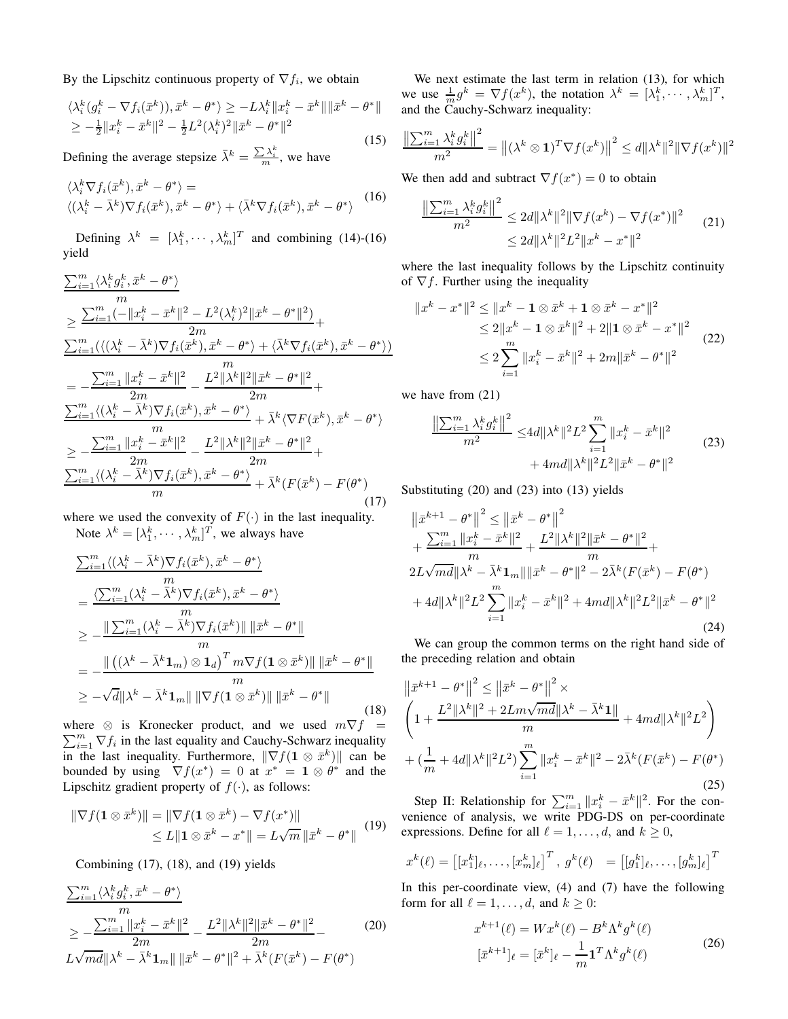By the Lipschitz continuous property of  $\nabla f_i$ , we obtain

$$
\langle \lambda_i^k (g_i^k - \nabla f_i(\bar{x}^k)), \bar{x}^k - \theta^* \rangle \ge -L\lambda_i^k \|x_i^k - \bar{x}^k\| \|\bar{x}^k - \theta^*\|
$$
  
\n
$$
\ge -\frac{1}{2} \|x_i^k - \bar{x}^k\|^2 - \frac{1}{2} L^2(\lambda_i^k)^2 \|\bar{x}^k - \theta^*\|^2
$$
\n(15)

Defining the average stepsize  $\bar{\lambda}^k = \frac{\sum_{i=1}^{k} \lambda_i^k}{m}$ , we have

$$
\langle \lambda_i^k \nabla f_i(\bar{x}^k), \bar{x}^k - \theta^* \rangle =
$$
  

$$
\langle (\lambda_i^k - \bar{\lambda}^k) \nabla f_i(\bar{x}^k), \bar{x}^k - \theta^* \rangle + \langle \bar{\lambda}^k \nabla f_i(\bar{x}^k), \bar{x}^k - \theta^* \rangle
$$
 (16)

Defining  $\lambda^k = [\lambda_1^k, \cdots, \lambda_m^k]^T$  and combining (14)-(16) yield

$$
\frac{\sum_{i=1}^{m} \langle \lambda_{i}^{k} g_{i}^{k}, \bar{x}^{k} - \theta^{*} \rangle}{m}
$$
\n
$$
\geq \frac{\sum_{i=1}^{m} (-||x_{i}^{k} - \bar{x}^{k}||^{2} - L^{2}(\lambda_{i}^{k})^{2}||\bar{x}^{k} - \theta^{*}||^{2})}{2m} +
$$
\n
$$
\frac{\sum_{i=1}^{m} (\langle (\lambda_{i}^{k} - \bar{\lambda}^{k}) \nabla f_{i}(\bar{x}^{k}), \bar{x}^{k} - \theta^{*} \rangle + \langle \bar{\lambda}^{k} \nabla f_{i}(\bar{x}^{k}), \bar{x}^{k} - \theta^{*} \rangle)}{m}
$$
\n
$$
= -\frac{\sum_{i=1}^{m} ||x_{i}^{k} - \bar{x}^{k}||^{2}}{2m} - \frac{L^{2}||\lambda^{k}||^{2}||\bar{x}^{k} - \theta^{*}||^{2}}{2m} +
$$
\n
$$
\frac{\sum_{i=1}^{m} \langle (\lambda_{i}^{k} - \bar{\lambda}^{k}) \nabla f_{i}(\bar{x}^{k}), \bar{x}^{k} - \theta^{*} \rangle}{m} + \bar{\lambda}^{k} \langle \nabla F(\bar{x}^{k}), \bar{x}^{k} - \theta^{*} \rangle}
$$
\n
$$
\geq -\frac{\sum_{i=1}^{m} ||x_{i}^{k} - \bar{x}^{k}||^{2}}{2m} - \frac{L^{2}||\lambda^{k}||^{2}||\bar{x}^{k} - \theta^{*}||^{2}}{2m} +
$$
\n
$$
\frac{\sum_{i=1}^{m} \langle (\lambda_{i}^{k} - \bar{\lambda}^{k}) \nabla f_{i}(\bar{x}^{k}), \bar{x}^{k} - \theta^{*} \rangle}{m} + \bar{\lambda}^{k} (F(\bar{x}^{k}) - F(\theta^{*})
$$
\n(17)

where we used the convexity of  $F(\cdot)$  in the last inequality. Note  $\lambda^k = [\lambda_1^k, \cdots, \lambda_m^k]^T$ , we always have

$$
\sum_{i=1}^{m} \langle (\lambda_i^k - \bar{\lambda}^k) \nabla f_i(\bar{x}^k), \bar{x}^k - \theta^* \rangle
$$
\n
$$
= \frac{\langle \sum_{i=1}^{m} (\lambda_i^k - \bar{\lambda}^k) \nabla f_i(\bar{x}^k), \bar{x}^k - \theta^* \rangle}{m}
$$
\n
$$
\geq -\frac{\|\sum_{i=1}^{m} (\lambda_i^k - \bar{\lambda}^k) \nabla f_i(\bar{x}^k)\| \|\bar{x}^k - \theta^*\|}{m}
$$
\n
$$
= -\frac{\|\left((\lambda^k - \bar{\lambda}^k \mathbf{1}_m) \otimes \mathbf{1}_d\right)^T m \nabla f(\mathbf{1} \otimes \bar{x}^k)\| \|\bar{x}^k - \theta^*\|}{m}
$$
\n
$$
\geq -\sqrt{d} \|\lambda^k - \bar{\lambda}^k \mathbf{1}_m\| \|\nabla f(\mathbf{1} \otimes \bar{x}^k)\| \|\bar{x}^k - \theta^*\|
$$
\n(18)

 $\sum_{i=1}^{m} \nabla f_i$  in the last equality and Cauchy-Schwarz inequality where  $\otimes$  is Kronecker product, and we used  $m\nabla f$  = in the last inequality. Furthermore,  $\|\nabla f(\mathbf{1} \otimes \bar{x}^k)\|$  can be bounded by using  $\nabla f(x^*) = 0$  at  $x^* = \mathbf{1} \otimes \theta^*$  and the Lipschitz gradient property of  $f(\cdot)$ , as follows:

$$
\|\nabla f(\mathbf{1} \otimes \bar{x}^k)\| = \|\nabla f(\mathbf{1} \otimes \bar{x}^k) - \nabla f(x^*)\|
$$
  
\n
$$
\leq L \|\mathbf{1} \otimes \bar{x}^k - x^*\| = L\sqrt{m} \|\bar{x}^k - \theta^*\|
$$
 (19)

Combining (17), (18), and (19) yields

$$
\frac{\sum_{i=1}^{m} \langle \lambda_i^k g_i^k, \bar{x}^k - \theta^* \rangle}{m}
$$
\n
$$
\geq -\frac{\sum_{i=1}^{m} ||x_i^k - \bar{x}^k||^2}{2m} - \frac{L^2 ||\lambda^k||^2 ||\bar{x}^k - \theta^*||^2}{2m} - \frac{L^2 ||\lambda^k||^2 ||\bar{x}^k - \theta^*||^2}{2m} - \frac{L^2 ||\lambda^k||^2 ||\bar{x}^k - \theta^*||^2}{2m}.
$$
\n(20)

We next estimate the last term in relation (13), for which we use  $\frac{1}{m}g^k = \nabla f(x^k)$ , the notation  $\lambda^k = [\lambda_1^k, \dots, \lambda_m^k]^T$ , and the Cauchy-Schwarz inequality:

$$
\frac{\left\|\sum_{i=1}^{m} \lambda_i^k g_i^k\right\|^2}{m^2} = \left\| (\lambda^k \otimes \mathbf{1})^T \nabla f(x^k) \right\|^2 \le d \|\lambda^k\|^2 \|\nabla f(x^k)\|^2
$$

We then add and subtract  $\nabla f(x^*) = 0$  to obtain

$$
\frac{\left\|\sum_{i=1}^{m} \lambda_i^k g_i^k\right\|^2}{m^2} \le 2d \|\lambda^k\|^2 \|\nabla f(x^k) - \nabla f(x^*)\|^2
$$
\n
$$
\le 2d \|\lambda^k\|^2 L^2 \|x^k - x^*\|^2
$$
\n(21)

where the last inequality follows by the Lipschitz continuity of  $\nabla f$ . Further using the inequality

$$
||x^{k} - x^{*}||^{2} \le ||x^{k} - \mathbf{1} \otimes \bar{x}^{k} + \mathbf{1} \otimes \bar{x}^{k} - x^{*}||^{2}
$$
  
\n
$$
\le 2||x^{k} - \mathbf{1} \otimes \bar{x}^{k}||^{2} + 2||\mathbf{1} \otimes \bar{x}^{k} - x^{*}||^{2}
$$
  
\n
$$
\le 2\sum_{i=1}^{m} ||x_{i}^{k} - \bar{x}^{k}||^{2} + 2m||\bar{x}^{k} - \theta^{*}||^{2}
$$
\n(22)

we have from (21)

$$
\frac{\left\|\sum_{i=1}^{m} \lambda_i^k g_i^k\right\|^2}{m^2} \le 4d \|\lambda^k\|^2 L^2 \sum_{i=1}^{m} \|x_i^k - \bar{x}^k\|^2 + 4md \|\lambda^k\|^2 L^2 \|\bar{x}^k - \theta^*\|^2 \tag{23}
$$

Substituting (20) and (23) into (13) yields

$$
\|\bar{x}^{k+1} - \theta^*\|^2 \le \|\bar{x}^k - \theta^*\|^2 + \frac{\sum_{i=1}^m \|x_i^k - \bar{x}^k\|^2}{m} + \frac{L^2 \|\lambda^k\|^2 \|\bar{x}^k - \theta^*\|^2}{m} + 2L\sqrt{md}\|\lambda^k - \bar{\lambda}^k \mathbf{1}_m\| \|\bar{x}^k - \theta^*\|^2 - 2\bar{\lambda}^k (F(\bar{x}^k) - F(\theta^*) + 4d\|\lambda^k\|^2 L^2 \sum_{i=1}^m \|x_i^k - \bar{x}^k\|^2 + 4md\|\lambda^k\|^2 L^2 \|\bar{x}^k - \theta^*\|^2
$$
\n(24)

We can group the common terms on the right hand side of the preceding relation and obtain

$$
\|\bar{x}^{k+1} - \theta^*\|^2 \le \|\bar{x}^k - \theta^*\|^2 \times
$$
  
\n
$$
\left(1 + \frac{L^2 \|\lambda^k\|^2 + 2Lm\sqrt{md}\|\lambda^k - \bar{\lambda}^k\mathbf{1}\|}{m} + 4md\|\lambda^k\|^2 L^2\right)
$$
  
\n
$$
+ \left(\frac{1}{m} + 4d\|\lambda^k\|^2 L^2\right) \sum_{i=1}^m \|x_i^k - \bar{x}^k\|^2 - 2\bar{\lambda}^k (F(\bar{x}^k) - F(\theta^*))
$$
\n(25)

Step II: Relationship for  $\sum_{i=1}^{m} ||x_i^k - \bar{x}^k||^2$ . For the convenience of analysis, we write PDG-DS on per-coordinate expressions. Define for all  $\ell = 1, \ldots, d$ , and  $k \ge 0$ ,

$$
x^{k}(\ell) = \begin{bmatrix} [x_{1}^{k}]_{\ell}, \dots, [x_{m}^{k}]_{\ell} \end{bmatrix}^{T}, g^{k}(\ell) = \begin{bmatrix} [g_{1}^{k}]_{\ell}, \dots, [g_{m}^{k}]_{\ell} \end{bmatrix}^{T}
$$

In this per-coordinate view,  $(4)$  and  $(7)$  have the following form for all  $\ell = 1, \ldots, d$ , and  $k \geq 0$ :

$$
x^{k+1}(\ell) = Wx^{k}(\ell) - B^{k}\Lambda^{k}g^{k}(\ell)
$$

$$
[\bar{x}^{k+1}]_{\ell} = [\bar{x}^{k}]_{\ell} - \frac{1}{m}\mathbf{1}^{T}\Lambda^{k}g^{k}(\ell)
$$
(26)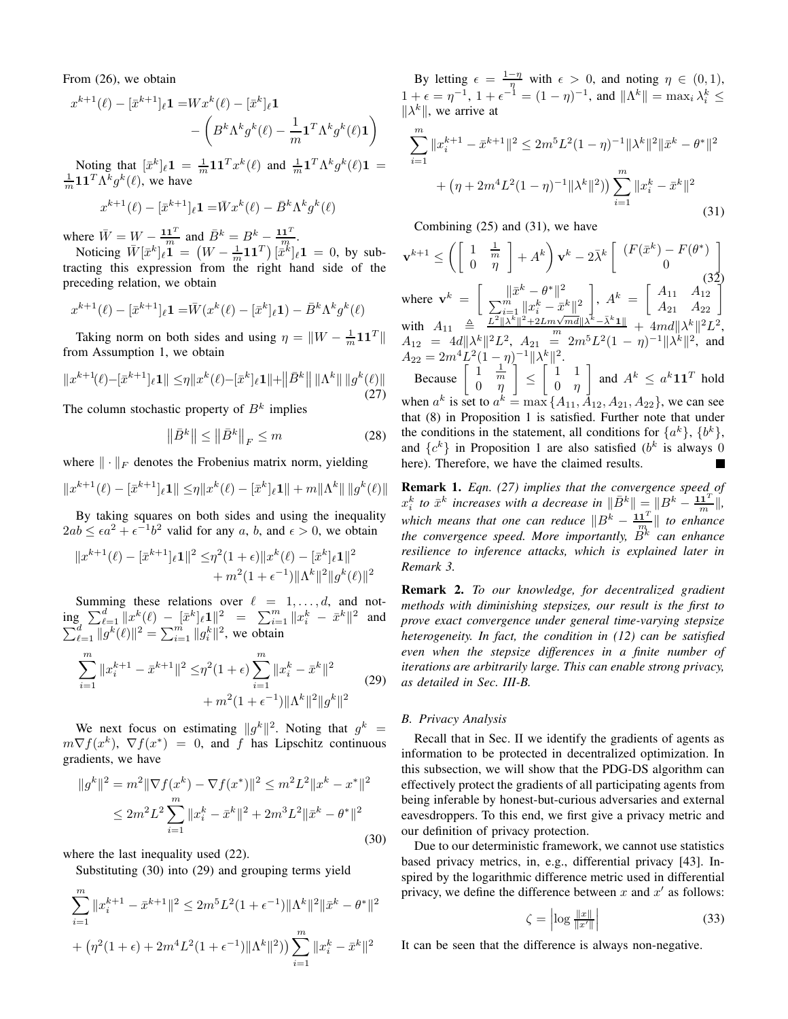From (26), we obtain

$$
x^{k+1}(\ell) - [\bar{x}^{k+1}]_{\ell} \mathbf{1} = Wx^k(\ell) - [\bar{x}^k]_{\ell} \mathbf{1}
$$

$$
- \left(B^k \Lambda^k g^k(\ell) - \frac{1}{m} \mathbf{1}^T \Lambda^k g^k(\ell) \mathbf{1}\right)
$$

Noting that  $[\bar{x}^k]_\ell \mathbf{1} = \frac{1}{m} \mathbf{1} \mathbf{1}^T x^k(\ell)$  and  $\frac{1}{m} \mathbf{1}^T \Lambda^k g^k(\ell) \mathbf{1} =$  $\frac{1}{m} \mathbf{1} \mathbf{1}^T \Lambda^k g^k(\ell)$ , we have

$$
x^{k+1}(\ell) - [\bar{x}^{k+1}]_\ell \mathbf{1} = \bar{W} x^k(\ell) - \bar{B}^k \Lambda^k g^k(\ell)
$$

where  $\overline{W} = \overline{W} - \frac{\mathbf{1} \mathbf{1}^T}{m}$  and  $\overline{B}^k = B^k - \frac{\mathbf{1} \mathbf{1}^T}{m}$ .

Noticing  $\bar{W}[\bar{x}^k]_\ell \mathbf{1} = (W - \frac{1}{m} \mathbf{1} \mathbf{1}^T) [\bar{x}^k]_\ell \mathbf{1} = 0$ , by subtracting this expression from the right hand side of the preceding relation, we obtain

$$
x^{k+1}(\ell) - [\bar{x}^{k+1}]_{\ell} \mathbf{1} = \bar{W}(x^k(\ell) - [\bar{x}^k]_{\ell} \mathbf{1}) - \bar{B}^k \Lambda^k g^k(\ell)
$$

Taking norm on both sides and using  $\eta = \|W - \frac{1}{m} \mathbf{1} \mathbf{1}^T\|$ from Assumption 1, we obtain

$$
||x^{k+1}(\ell) - [\bar{x}^{k+1}]_{\ell} 1|| \leq \eta ||x^k(\ell) - [\bar{x}^k]_{\ell} 1|| + ||\bar{B}^k|| ||\Lambda^k|| ||g^k(\ell)||
$$
\n(27)

The column stochastic property of  $B<sup>k</sup>$  implies

$$
\left\|\bar{B}^k\right\| \le \left\|\bar{B}^k\right\|_F \le m \tag{28}
$$

where  $\|\cdot\|_F$  denotes the Frobenius matrix norm, yielding

$$
||x^{k+1}(\ell) - [\bar{x}^{k+1}]_{\ell} \mathbf{1}|| \leq \eta ||x^k(\ell) - [\bar{x}^k]_{\ell} \mathbf{1}|| + m||\Lambda^k|| \, ||g^k(\ell)||
$$

By taking squares on both sides and using the inequality  $2ab \leq \epsilon a^2 + \epsilon^{-1}b^2$  valid for any a, b, and  $\epsilon > 0$ , we obtain

$$
||x^{k+1}(\ell) - [\bar{x}^{k+1}]_{\ell}1||^{2} \leq \eta^{2} (1+\epsilon) ||x^{k}(\ell) - [\bar{x}^{k}]_{\ell}1||^{2} + m^{2} (1+\epsilon^{-1}) ||\Lambda^{k}||^{2} ||g^{k}(\ell)||^{2}
$$

Summing these relations over  $\ell = 1, \ldots, d$ , and not- $\lim_{k \to \infty} \sum_{\ell=1}^d \|x^k(\ell) - [\bar{x}^k]_\ell 1\|^2 = \sum_{i=1}^m \|x_i^k - \bar{x}^k\|^2$  and  $\sum_{\ell=1}^d ||g^k(\ell)||^2 = \sum_{i=1}^m ||g_i^k||^2$ , we obtain

$$
\sum_{i=1}^{m} \|x_i^{k+1} - \bar{x}^{k+1}\|^2 \leq \eta^2 (1+\epsilon) \sum_{i=1}^{m} \|x_i^k - \bar{x}^k\|^2 + m^2 (1+\epsilon^{-1}) \|\Lambda^k\|^2 \|g^k\|^2 \tag{29}
$$

We next focus on estimating  $||g^k||^2$ . Noting that  $g^k$  =  $m\nabla f(x^k)$ ,  $\nabla f(x^*) = 0$ , and f has Lipschitz continuous gradients, we have

$$
||g^k||^2 = m^2 ||\nabla f(x^k) - \nabla f(x^*)||^2 \le m^2 L^2 ||x^k - x^*||^2
$$
  
\n
$$
\le 2m^2 L^2 \sum_{i=1}^m ||x_i^k - \bar{x}^k||^2 + 2m^3 L^2 ||\bar{x}^k - \theta^*||^2
$$
\n(30)

where the last inequality used (22).

Substituting (30) into (29) and grouping terms yield

$$
\sum_{i=1}^{m} \|x_i^{k+1} - \bar{x}^{k+1}\|^2 \le 2m^5 L^2 (1 + \epsilon^{-1}) \|\Lambda^k\|^2 \|\bar{x}^k - \theta^*\|^2
$$
  
+ 
$$
(\eta^2 (1 + \epsilon) + 2m^4 L^2 (1 + \epsilon^{-1}) \|\Lambda^k\|^2) \sum_{i=1}^{m} \|x_i^k - \bar{x}^k\|^2
$$

By letting  $\epsilon = \frac{1-\eta}{\eta}$  with  $\epsilon > 0$ , and noting  $\eta \in (0,1)$ ,  $1 + \epsilon = \eta^{-1}, \ 1 + \epsilon^{-1} = (1 - \eta)^{-1}, \text{ and } ||\Lambda^k|| = \max_i \lambda_i^k \leq$  $\|\lambda^k\|$ , we arrive at

$$
\sum_{i=1}^{m} \|x_i^{k+1} - \bar{x}^{k+1}\|^2 \le 2m^5 L^2 (1 - \eta)^{-1} \|\lambda^k\|^2 \|\bar{x}^k - \theta^*\|^2
$$
  
+ 
$$
(\eta + 2m^4 L^2 (1 - \eta)^{-1} \|\lambda^k\|^2) \sum_{i=1}^{m} \|x_i^k - \bar{x}^k\|^2
$$
(31)

Combining (25) and (31), we have

$$
\mathbf{v}^{k+1} \le \left( \begin{bmatrix} 1 & \frac{1}{m} \\ 0 & \eta \end{bmatrix} + A^k \right) \mathbf{v}^k - 2\bar{\lambda}^k \begin{bmatrix} (F(\bar{x}^k) - F(\theta^*) \\ 0 \end{bmatrix}
$$
  
where 
$$
\mathbf{v}^k = \begin{bmatrix} \|\bar{x}^k - \theta^*\|^2 \\ \sum_{i=1}^m \|\bar{x}_i^k - \bar{x}^k\|^2 \\ \sum_{i=1}^m \|\bar{x}_i^k - \bar{x}^k\|^2 \end{bmatrix}, A^k = \begin{bmatrix} A_{11} & A_{12} \\ A_{21} & A_{22} \end{bmatrix}
$$

with  $A_{11} \triangleq \frac{L^2 ||\lambda^k||^2 + 2Lm\sqrt{md}||\lambda^k - \bar{\lambda}^k \mathbf{1}||}{m} + 4md||\lambda^k||^2L^2,$  $A_{12} = 4d \|\lambda^k\|^2 L^2$ ,  $A_{21} = 2m^5L^2(1-\eta)^{-1} \|\lambda^k\|^2$ , and  $A_{22} = 2m^4 L^2 (1 - \eta)^{-1} \|\lambda_{\Gamma}^k\|^2.$ 1

Because  $\begin{bmatrix} 1 & \frac{1}{m} \\ 0 & \eta \end{bmatrix}$ ≤  $\begin{bmatrix} 1 & 1 \end{bmatrix}$ 0 η and  $A^k \leq a^k \mathbf{1} \mathbf{1}^T$  hold when  $a^k$  is set to  $a^k = \max\{A_{11}, \overline{A}_{12}, A_{21}, A_{22}\}$ , we can see that (8) in Proposition 1 is satisfied. Further note that under the conditions in the statement, all conditions for  $\{a^k\}, \{b^k\},\$ and  $\{c^k\}$  in Proposition 1 are also satisfied  $(b^k$  is always 0 here). Therefore, we have the claimed results.

Remark 1. *Eqn. (27) implies that the convergence speed of*  $x_i^k$  to  $\bar{x}^k$  increases with a decrease in  $\|\bar{B}^k\| = \|B^k - \frac{11^T}{m}\|$ , *which means that one can reduce*  $||B^k - \frac{\mathbf{1} \mathbf{1}^T}{m}||$  to enhance the convergence speed. More importantly,  $\ddot{B^{k}}$  can enhance *resilience to inference attacks, which is explained later in Remark 3.*

Remark 2. *To our knowledge, for decentralized gradient methods with diminishing stepsizes, our result is the first to prove exact convergence under general time-varying stepsize heterogeneity. In fact, the condition in (12) can be satisfied even when the stepsize differences in a finite number of iterations are arbitrarily large. This can enable strong privacy, as detailed in Sec. III-B.*

#### *B. Privacy Analysis*

Recall that in Sec. II we identify the gradients of agents as information to be protected in decentralized optimization. In this subsection, we will show that the PDG-DS algorithm can effectively protect the gradients of all participating agents from being inferable by honest-but-curious adversaries and external eavesdroppers. To this end, we first give a privacy metric and our definition of privacy protection.

Due to our deterministic framework, we cannot use statistics based privacy metrics, in, e.g., differential privacy [43]. Inspired by the logarithmic difference metric used in differential privacy, we define the difference between x and  $x'$  as follows:

$$
\zeta = \left| \log \frac{\|x\|}{\|x'\|} \right| \tag{33}
$$

It can be seen that the difference is always non-negative.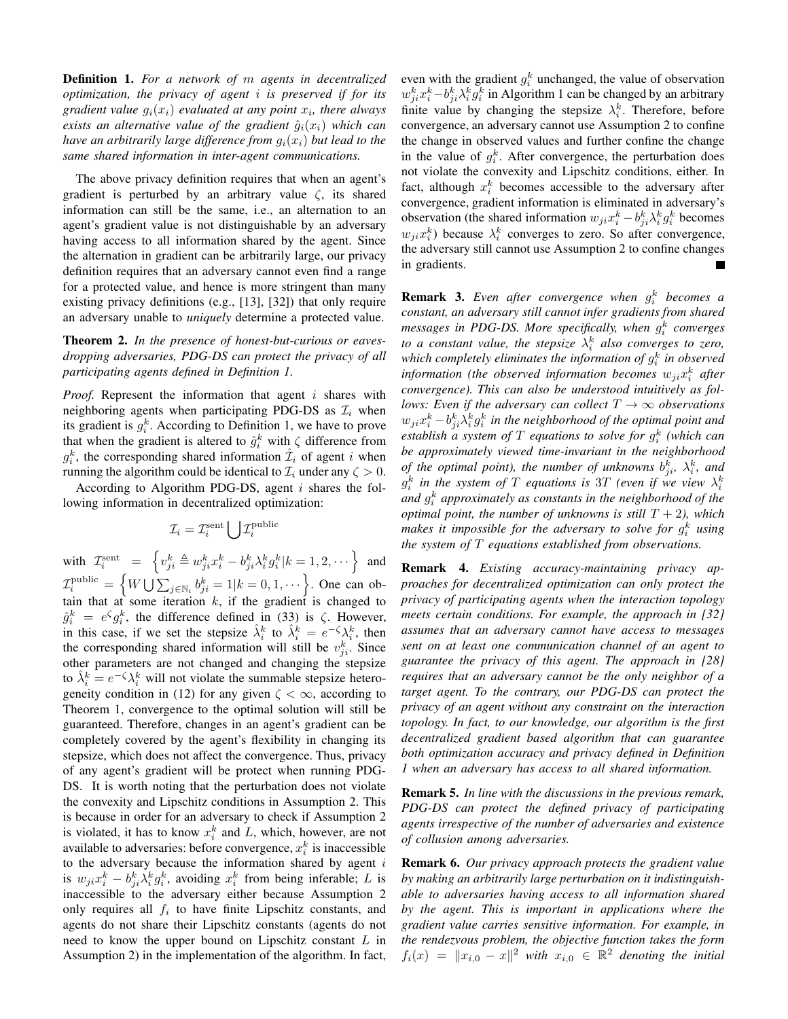Definition 1. *For a network of* m *agents in decentralized optimization, the privacy of agent* i *is preserved if for its gradient value* gi(xi) *evaluated at any point* x<sup>i</sup> *, there always exists an alternative value of the gradient*  $\hat{g}_i(x_i)$  *which can have an arbitrarily large difference from*  $g_i(x_i)$  *but lead to the same shared information in inter-agent communications.*

The above privacy definition requires that when an agent's gradient is perturbed by an arbitrary value  $\zeta$ , its shared information can still be the same, i.e., an alternation to an agent's gradient value is not distinguishable by an adversary having access to all information shared by the agent. Since the alternation in gradient can be arbitrarily large, our privacy definition requires that an adversary cannot even find a range for a protected value, and hence is more stringent than many existing privacy definitions (e.g., [13], [32]) that only require an adversary unable to *uniquely* determine a protected value.

Theorem 2. *In the presence of honest-but-curious or eavesdropping adversaries, PDG-DS can protect the privacy of all participating agents defined in Definition 1.*

Proof. Represent the information that agent i shares with neighboring agents when participating PDG-DS as  $\mathcal{I}_i$  when its gradient is  $g_i^k$ . According to Definition 1, we have to prove that when the gradient is altered to  $\hat{g}_i^k$  with  $\zeta$  difference from  $g_i^k$ , the corresponding shared information  $\hat{\mathcal{I}}_i$  of agent i when running the algorithm could be identical to  $\mathcal{I}_i$  under any  $\zeta > 0$ .

According to Algorithm PDG-DS, agent  $i$  shares the following information in decentralized optimization:

$$
\mathcal{I}_i = \mathcal{I}_i^{\text{sent}} \bigcup \mathcal{I}_i^{\text{public}}
$$

with  $\mathcal{I}^{\text{sent}}_i \;\; = \;\; \left\{ v^k_{ji} \triangleq w^k_{ji} x^k_i - b^k_{ji} \lambda^k_i g^k_i | k = 1, 2, \cdots \right\}$  and  $\mathcal{I}_i^{\text{public}} = \left\{ W \bigcup \sum_{j \in \mathbb{N}_i} b_{ji}^k = 1 | k = 0, 1, \dots \right\}$ . One can obtain that at some iteration  $k$ , if the gradient is changed to  $\hat{g}_i^k = e^{\zeta} g_i^k$ , the difference defined in (33) is  $\zeta$ . However, in this case, if we set the stepsize  $\hat{\lambda}_i^k$  to  $\hat{\lambda}_i^k = e^{-\zeta} \lambda_i^k$ , then the corresponding shared information will still be  $v_{ji}^k$ . Since other parameters are not changed and changing the stepsize to  $\hat{\lambda}_i^k = e^{-\zeta} \lambda_i^k$  will not violate the summable stepsize heterogeneity condition in (12) for any given  $\zeta < \infty$ , according to Theorem 1, convergence to the optimal solution will still be guaranteed. Therefore, changes in an agent's gradient can be completely covered by the agent's flexibility in changing its stepsize, which does not affect the convergence. Thus, privacy of any agent's gradient will be protect when running PDG-DS. It is worth noting that the perturbation does not violate the convexity and Lipschitz conditions in Assumption 2. This is because in order for an adversary to check if Assumption 2 is violated, it has to know  $x_i^k$  and L, which, however, are not available to adversaries: before convergence,  $x_i^k$  is inaccessible to the adversary because the information shared by agent  $i$ is  $w_{ji}x_i^k - b_{ji}^k \lambda_i^k g_i^k$ , avoiding  $x_i^k$  from being inferable; L is inaccessible to the adversary either because Assumption 2 only requires all  $f_i$  to have finite Lipschitz constants, and agents do not share their Lipschitz constants (agents do not need to know the upper bound on Lipschitz constant  $L$  in Assumption 2) in the implementation of the algorithm. In fact,

even with the gradient  $g_i^k$  unchanged, the value of observation  $w_{ji}^k x_i^k - b_{ji}^k \lambda_i^k g_i^k$  in Algorithm 1 can be changed by an arbitrary finite value by changing the stepsize  $\lambda_i^k$ . Therefore, before convergence, an adversary cannot use Assumption 2 to confine the change in observed values and further confine the change in the value of  $g_i^k$ . After convergence, the perturbation does not violate the convexity and Lipschitz conditions, either. In fact, although  $x_i^k$  becomes accessible to the adversary after convergence, gradient information is eliminated in adversary's observation (the shared information  $w_{ji}x_i^k - b_{ji}^k \lambda_i^k g_i^k$  becomes  $w_{ji}x_i^k$ ) because  $\lambda_i^k$  converges to zero. So after convergence, the adversary still cannot use Assumption 2 to confine changes in gradients.

**Remark 3.** Even after convergence when  $g_i^k$  becomes a *constant, an adversary still cannot infer gradients from shared messages in PDG-DS. More specifically, when* g k i *converges to a constant value, the stepsize*  $\lambda_i^k$  *also converges to zero,* which completely eliminates the information of  $g_i^k$  in observed information (the observed information becomes  $w_{ji}x_i^k$  after *convergence). This can also be understood intuitively as follows: Even if the adversary can collect*  $T \rightarrow \infty$  *observations*  $w_{ji}x_i^k - b_{ji}^k \lambda_i^k g_i^k$  in the neighborhood of the optimal point and *establish a system of* T *equations to solve for* g k i *(which can be approximately viewed time-invariant in the neighborhood of the optimal point), the number of unknowns*  $b_{ji}^k$ ,  $\lambda_i^k$ *, and*  $g_i^k$  in the system of  $T$  equations is  $3T$  (even if we view  $\lambda_i^k$ *and* g k i *approximately as constants in the neighborhood of the optimal point, the number of unknowns is still*  $T + 2$ *), which* makes it impossible for the adversary to solve for  $g_i^k$  using *the system of* T *equations established from observations.*

Remark 4. *Existing accuracy-maintaining privacy approaches for decentralized optimization can only protect the privacy of participating agents when the interaction topology meets certain conditions. For example, the approach in [32] assumes that an adversary cannot have access to messages sent on at least one communication channel of an agent to guarantee the privacy of this agent. The approach in [28] requires that an adversary cannot be the only neighbor of a target agent. To the contrary, our PDG-DS can protect the privacy of an agent without any constraint on the interaction topology. In fact, to our knowledge, our algorithm is the first decentralized gradient based algorithm that can guarantee both optimization accuracy and privacy defined in Definition 1 when an adversary has access to all shared information.*

Remark 5. *In line with the discussions in the previous remark, PDG-DS can protect the defined privacy of participating agents irrespective of the number of adversaries and existence of collusion among adversaries.*

Remark 6. *Our privacy approach protects the gradient value by making an arbitrarily large perturbation on it indistinguishable to adversaries having access to all information shared by the agent. This is important in applications where the gradient value carries sensitive information. For example, in the rendezvous problem, the objective function takes the form*  $f_i(x) = ||x_{i,0} - x||^2$  with  $x_{i,0} \in \mathbb{R}^2$  denoting the initial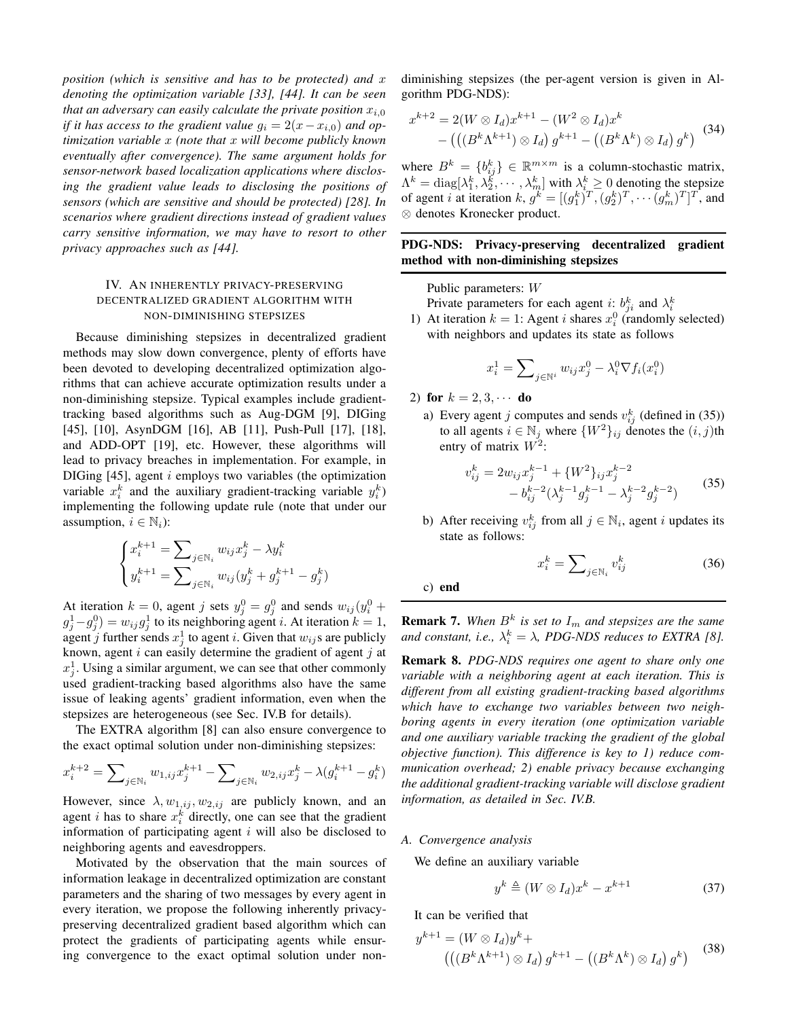*position (which is sensitive and has to be protected) and* x *denoting the optimization variable [33], [44]. It can be seen that an adversary can easily calculate the private position*  $x_{i,0}$ *if it has access to the gradient value*  $g_i = 2(x - x_{i,0})$  *and optimization variable* x *(note that* x *will become publicly known eventually after convergence). The same argument holds for sensor-network based localization applications where disclosing the gradient value leads to disclosing the positions of sensors (which are sensitive and should be protected) [28]. In scenarios where gradient directions instead of gradient values carry sensitive information, we may have to resort to other privacy approaches such as [44].*

## IV. AN INHERENTLY PRIVACY-PRESERVING DECENTRALIZED GRADIENT ALGORITHM WITH NON-DIMINISHING STEPSIZES

Because diminishing stepsizes in decentralized gradient methods may slow down convergence, plenty of efforts have been devoted to developing decentralized optimization algorithms that can achieve accurate optimization results under a non-diminishing stepsize. Typical examples include gradienttracking based algorithms such as Aug-DGM [9], DIGing [45], [10], AsynDGM [16], AB [11], Push-Pull [17], [18], and ADD-OPT [19], etc. However, these algorithms will lead to privacy breaches in implementation. For example, in DIGing  $[45]$ , agent i employs two variables (the optimization variable  $x_i^k$  and the auxiliary gradient-tracking variable  $y_i^k$ implementing the following update rule (note that under our assumption,  $i \in \mathbb{N}_i$ :

$$
\begin{cases} x_i^{k+1}=\sum\nolimits_{j\in\mathbb{N}_i}w_{ij}x_j^k-\lambda y_i^k\\ y_i^{k+1}=\sum\nolimits_{j\in\mathbb{N}_i}w_{ij}(y_j^k+g_j^{k+1}-g_j^k) \end{cases}
$$

At iteration  $k = 0$ , agent j sets  $y_j^0 = g_j^0$  and sends  $w_{ij}(y_i^0 +$  $g_j^1 - g_j^0$  =  $w_{ij}g_j^1$  to its neighboring agent *i*. At iteration  $k = 1$ , agent j further sends  $x_j^1$  to agent i. Given that  $w_{ij}$ s are publicly known, agent  $i$  can easily determine the gradient of agent  $j$  at  $x_j^1$ . Using a similar argument, we can see that other commonly used gradient-tracking based algorithms also have the same issue of leaking agents' gradient information, even when the stepsizes are heterogeneous (see Sec. IV.B for details).

The EXTRA algorithm [8] can also ensure convergence to the exact optimal solution under non-diminishing stepsizes:

$$
x_i^{k+2} = \sum\nolimits_{j \in \mathbb{N}_i} w_{1,ij} x_j^{k+1} - \sum\nolimits_{j \in \mathbb{N}_i} w_{2,ij} x_j^k - \lambda (g_i^{k+1} - g_i^k)
$$

However, since  $\lambda$ ,  $w_{1,ij}$ ,  $w_{2,ij}$  are publicly known, and an agent *i* has to share  $x_i^k$  directly, one can see that the gradient information of participating agent  $i$  will also be disclosed to neighboring agents and eavesdroppers.

Motivated by the observation that the main sources of information leakage in decentralized optimization are constant parameters and the sharing of two messages by every agent in every iteration, we propose the following inherently privacypreserving decentralized gradient based algorithm which can protect the gradients of participating agents while ensuring convergence to the exact optimal solution under non-

diminishing stepsizes (the per-agent version is given in Algorithm PDG-NDS):

$$
x^{k+2} = 2(W \otimes I_d)x^{k+1} - (W^2 \otimes I_d)x^k - (((B^k \Lambda^{k+1}) \otimes I_d) g^{k+1} - ((B^k \Lambda^k) \otimes I_d) g^k)
$$
(34)

where  $B^k = \{b_{ij}^k\} \in \mathbb{R}^{m \times m}$  is a column-stochastic matrix,  $\Lambda^k = \text{diag}[\lambda_1^k, \lambda_2^k, \cdots, \lambda_m^k]$  with  $\lambda_i^k \geq 0$  denoting the stepsize of agent *i* at iteration  $k, g^k = [(g_1^k)^T, (g_2^k)^T, \dots (g_m^k)^T]^T$ , and ⊗ denotes Kronecker product.

## PDG-NDS: Privacy-preserving decentralized gradient method with non-diminishing stepsizes

Public parameters: W

Private parameters for each agent *i*:  $b_{ji}^k$  and  $\lambda_i^k$ <br>1) At iteration  $k = 1$ : Agent *i* shares  $x_i^0$  (randomly selected) with neighbors and updates its state as follows

$$
x_i^1 = \sum\nolimits_{j \in \mathbb{N}^i} w_{ij} x_j^0 - \lambda_i^0 \nabla f_i(x_i^0)
$$

2) for  $k = 2, 3, \cdots$  do

a) Every agent j computes and sends  $v_{ij}^k$  (defined in (35)) to all agents  $i \in \mathbb{N}_j$  where  $\{W^2\}_{ij}$  denotes the  $(i, j)$ th entry of matrix  $W^2$ :

$$
v_{ij}^k = 2w_{ij}x_j^{k-1} + \{W^2\}_{ij}x_j^{k-2}
$$
  
-  $b_{ij}^{k-2}(\lambda_j^{k-1}g_j^{k-1} - \lambda_j^{k-2}g_j^{k-2})$  (35)

b) After receiving  $v_{ij}^k$  from all  $j \in \mathbb{N}_i$ , agent i updates its state as follows:

$$
x_i^k = \sum\nolimits_{j \in \mathbb{N}_i} v_{ij}^k \tag{36}
$$

c) end

**Remark 7.** When  $B^k$  is set to  $I_m$  and stepsizes are the same and constant, i.e.,  $\lambda_i^k = \lambda$ , PDG-NDS reduces to EXTRA [8].

Remark 8. *PDG-NDS requires one agent to share only one variable with a neighboring agent at each iteration. This is different from all existing gradient-tracking based algorithms which have to exchange two variables between two neighboring agents in every iteration (one optimization variable and one auxiliary variable tracking the gradient of the global objective function). This difference is key to 1) reduce communication overhead; 2) enable privacy because exchanging the additional gradient-tracking variable will disclose gradient information, as detailed in Sec. IV.B.*

## *A. Convergence analysis*

We define an auxiliary variable

$$
y^k \triangleq (W \otimes I_d)x^k - x^{k+1} \tag{37}
$$

It can be verified that

$$
y^{k+1} = (W \otimes I_d)y^k +
$$

$$
(((B^k \Lambda^{k+1}) \otimes I_d) g^{k+1} - ((B^k \Lambda^k) \otimes I_d) g^k)
$$
(38)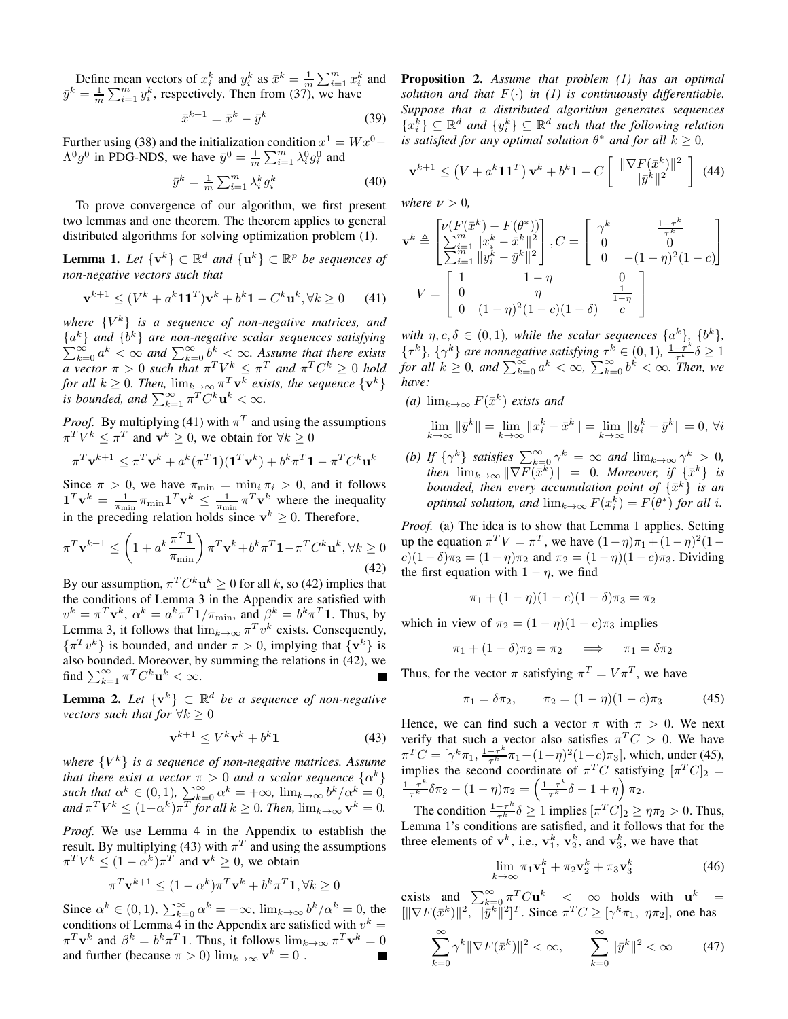Define mean vectors of  $x_i^k$  and  $y_i^k$  as  $\bar{x}^k = \frac{1}{m} \sum_{i=1}^m x_i^k$  and  $\bar{y}^k = \frac{1}{m} \sum_{i=1}^m y_i^k$ , respectively. Then from (37), we have

$$
\bar{x}^{k+1} = \bar{x}^k - \bar{y}^k \tag{39}
$$

Further using (38) and the initialization condition  $x^1 = W x^0 \Lambda^0 g^0$  in PDG-NDS, we have  $\bar{y}^0 = \frac{1}{m} \sum_{i=1}^m \lambda_i^0 g_i^0$  and

$$
\bar{y}^k = \frac{1}{m} \sum_{i=1}^m \lambda_i^k g_i^k \tag{40}
$$

To prove convergence of our algorithm, we first present two lemmas and one theorem. The theorem applies to general distributed algorithms for solving optimization problem (1).

**Lemma 1.** Let  $\{v^k\} \subset \mathbb{R}^d$  and  $\{u^k\} \subset \mathbb{R}^p$  be sequences of *non-negative vectors such that*

$$
\mathbf{v}^{k+1} \le (V^k + a^k \mathbf{1} \mathbf{1}^T) \mathbf{v}^k + b^k \mathbf{1} - C^k \mathbf{u}^k, \forall k \ge 0 \tag{41}
$$

*where* {V <sup>k</sup>} *is a sequence of non-negative matrices, and*  ${a^k}$  *and*  ${b^k}$  *are non-negative scalar sequences satisfying*  $\sum_{k=0}^{\infty} a^k < \infty$  and  $\sum_{k=0}^{\infty} b^k < \infty$ . Assume that there exists *a* vector  $\pi > 0$  such that  $\pi^T V^k \leq \pi^T$  and  $\pi^T C^k \geq 0$  hold *for all*  $k \geq 0$ *. Then,*  $\lim_{k \to \infty} \pi^T \mathbf{v}^k$  exists, the sequence  $\{\mathbf{v}^k\}$ *is bounded, and*  $\sum_{k=1}^{\infty} \pi^T C^k \mathbf{u}^k < \infty$ .

*Proof.* By multiplying (41) with  $\pi^{T}$  and using the assumptions  $\pi^T V^k \leq \pi^T$  and  $\mathbf{v}^k \geq 0$ , we obtain for  $\forall k \geq 0$ 

$$
\pi^T \mathbf{v}^{k+1} \leq \pi^T \mathbf{v}^k + a^k (\pi^T \mathbf{1}) (\mathbf{1}^T \mathbf{v}^k) + b^k \pi^T \mathbf{1} - \pi^T C^k \mathbf{u}^k
$$

Since  $\pi > 0$ , we have  $\pi_{\min} = \min_i \pi_i > 0$ , and it follows  $\mathbf{1}^T \mathbf{v}^k = \frac{1}{\pi_{\min}} \pi_{\min} \mathbf{1}^T \mathbf{v}^k \le \frac{1}{\pi_{\min}} \pi^T \mathbf{v}^k$  where the inequality in the preceding relation holds since  $v^k \geq 0$ . Therefore,

$$
\pi^T \mathbf{v}^{k+1} \le \left(1 + a^k \frac{\pi^T \mathbf{1}}{\pi_{\min}}\right) \pi^T \mathbf{v}^k + b^k \pi^T \mathbf{1} - \pi^T C^k \mathbf{u}^k, \forall k \ge 0
$$
\n(42)

By our assumption,  $\pi^T C^k \mathbf{u}^k \ge 0$  for all k, so (42) implies that the conditions of Lemma 3 in the Appendix are satisfied with  $v^k = \pi^T \mathbf{v}^k$ ,  $\alpha^k = a^k \pi^T \mathbf{1} / \pi_{\min}$ , and  $\beta^k = b^k \pi^T \mathbf{1}$ . Thus, by Lemma 3, it follows that  $\lim_{k\to\infty} \pi^T v^k$  exists. Consequently,  $\{\pi^T v^k\}$  is bounded, and under  $\pi > 0$ , implying that  $\{v^k\}$  is also bounded. Moreover, by summing the relations in (42), we find  $\sum_{k=1}^{\infty} \pi^T C^k \mathbf{u}^k < \infty$ .

**Lemma 2.** Let  $\{v^k\} \subset \mathbb{R}^d$  be a sequence of non-negative *vectors such that for*  $\forall k > 0$ 

$$
\mathbf{v}^{k+1} \le V^k \mathbf{v}^k + b^k \mathbf{1} \tag{43}
$$

*where* {V <sup>k</sup>} *is a sequence of non-negative matrices. Assume that there exist a vector*  $\pi > 0$  *and a scalar sequence*  $\{\alpha^k\}$ *such that*  $\alpha^k \in (0, 1)$ ,  $\sum_{k=0}^{\infty} \alpha^k = +\infty$ ,  $\lim_{k \to \infty} b^k / \alpha^k = 0$ ,  $\int d\mathbf{r} \, dV^k \leq (1-\alpha^k)\pi^T$  *for all*  $k \geq 0$ *. Then,*  $\lim_{k \to \infty} \mathbf{v}^k = 0$ *.* 

*Proof.* We use Lemma 4 in the Appendix to establish the result. By multiplying (43) with  $\pi^{T}$  and using the assumptions  $\pi^T V^k \le (1 - \alpha^k) \pi^T$  and  $\mathbf{v}^k \ge 0$ , we obtain

$$
\pi^T \mathbf{v}^{k+1} \le (1 - \alpha^k) \pi^T \mathbf{v}^k + b^k \pi^T \mathbf{1}, \forall k \ge 0
$$

Since  $\alpha^k \in (0, 1)$ ,  $\sum_{k=0}^{\infty} \alpha^k = +\infty$ ,  $\lim_{k \to \infty} b^k / \alpha^k = 0$ , the conditions of Lemma 4 in the Appendix are satisfied with  $v^k =$  $\pi^T \mathbf{v}^k$  and  $\beta^k = b^k \pi^T \mathbf{1}$ . Thus, it follows  $\lim_{k \to \infty} \pi^T \mathbf{v}^k = 0$ and further (because  $\pi > 0$ )  $\lim_{k \to \infty} \mathbf{v}^k = 0$ .

Proposition 2. *Assume that problem (1) has an optimal solution and that*  $F(\cdot)$  *in (1) is continuously differentiable. Suppose that a distributed algorithm generates sequences*  ${x_i^k} \subseteq \mathbb{R}^d$  and  ${y_i^k} \subseteq \mathbb{R}^d$  such that the following relation *is satisfied for any optimal solution*  $\theta^*$  *and for all*  $k \geq 0$ *,* 

$$
\mathbf{v}^{k+1} \leq \left(V + a^k \mathbf{1} \mathbf{1}^T\right) \mathbf{v}^k + b^k \mathbf{1} - C \left[\begin{array}{c} \|\nabla F(\bar{x}^k)\|^2\\ \|\bar{y}^k\|^2 \end{array}\right] \tag{44}
$$

*where*  $\nu > 0$ *,* 

$$
\mathbf{v}^{k} \triangleq \begin{bmatrix} \nu(F(\bar{x}^{k}) - F(\theta^{*})) \\ \sum_{i=1}^{m} ||x_{i}^{k} - \bar{x}^{k}||^{2} \\ \sum_{i=1}^{m} ||y_{i}^{k} - \bar{y}^{k}||^{2} \end{bmatrix}, C = \begin{bmatrix} \gamma^{k} & \frac{1-\tau^{k}}{\tau^{k}} \\ 0 & 0 \\ 0 & -(1-\eta)^{2}(1-c) \end{bmatrix}
$$

$$
V = \begin{bmatrix} 1 & 1-\eta & 0 \\ 0 & \eta & \frac{1}{1-\eta} \\ 0 & (1-\eta)^{2}(1-c)(1-\delta) & c \end{bmatrix}
$$

*with*  $\eta, c, \delta \in (0, 1)$ *, while the scalar sequences*  $\{a^k\},\ \{b^k\},\$ { $\{\tau^k\}$ , { $\gamma^k$ } are nonnegative satisfying  $\tau^k \in (0, 1)$ ,  $\frac{1-\tau^k}{\tau^k} \delta \ge 1$ for all  $k \ge 0$ , and  $\sum_{k=0}^{\infty} a^k < \infty$ ,  $\sum_{k=0}^{\infty} b^k < \infty$ . Then, we *have:*

 $(a)$   $\lim_{k\to\infty} F(\bar{x}^k)$  *exists and* 

$$
\lim_{k \to \infty} \|\bar{y}^k\| = \lim_{k \to \infty} \|x_i^k - \bar{x}^k\| = \lim_{k \to \infty} \|y_i^k - \bar{y}^k\| = 0, \forall i
$$

*(b)* If  $\{\gamma^k\}$  *satisfies*  $\sum_{k=0}^{\infty} \gamma^k = \infty$  *and*  $\lim_{k\to\infty} \gamma^k > 0$ *,*  $\|m_{k\to\infty}\|\nabla F(\bar{x}^k)\| = 0$ . Moreover, if  $\{\bar{x}^k\}$  is *bounded, then every accumulation point of*  $\{\bar{x}^k\}$  *is an optimal solution, and*  $\lim_{k\to\infty} F(x_i^k) = F(\theta^*)$  *for all i.* 

*Proof.* (a) The idea is to show that Lemma 1 applies. Setting up the equation  $\pi^T V = \pi^T$ , we have  $(1 - \eta)\pi_1 + (1 - \eta)^2(1$  $c(1 - \delta)\pi_3 = (1 - \eta)\pi_2$  and  $\pi_2 = (1 - \eta)(1 - c)\pi_3$ . Dividing the first equation with  $1 - \eta$ , we find

$$
\pi_1 + (1 - \eta)(1 - c)(1 - \delta)\pi_3 = \pi_2
$$

which in view of  $\pi_2 = (1 - \eta)(1 - c)\pi_3$  implies

$$
\pi_1 + (1 - \delta)\pi_2 = \pi_2 \quad \implies \quad \pi_1 = \delta\pi_2
$$

Thus, for the vector  $\pi$  satisfying  $\pi^T = V \pi^T$ , we have

$$
\pi_1 = \delta \pi_2, \qquad \pi_2 = (1 - \eta)(1 - c)\pi_3 \tag{45}
$$

Hence, we can find such a vector  $\pi$  with  $\pi > 0$ . We next verify that such a vector also satisfies  $\pi^T C > 0$ . We have  $\pi^T C = [\gamma^k \pi_1, \frac{1-\tau^k}{\tau^k} \pi_1 - (1-\eta)^2 (1-c) \pi_3]$ , which, under (45), implies the second coordinate of  $\pi^T C$  satisfying  $[\pi^T C]_2$  =  $1-\tau^k$  $\frac{-\tau^k}{\tau^k} \delta \pi_2 - (1-\eta) \pi_2 = \left( \frac{1-\tau^k}{\tau^k} \right)$  $\frac{-\tau^k}{\tau^k}\delta-1+\eta\Big)\,\pi_2.$ 

The condition  $\frac{1-\tau^k}{\tau^k}$  $\frac{-\tau^{\kappa}}{\tau^k} \delta \ge 1$  implies  $[\pi^T C]_2 \ge \eta \pi_2 > 0$ . Thus, Lemma 1's conditions are satisfied, and it follows that for the three elements of  $v^k$ , i.e.,  $v_1^k$ ,  $v_2^k$ , and  $v_3^k$ , we have that

$$
\lim_{k \to \infty} \pi_1 \mathbf{v}_1^k + \pi_2 \mathbf{v}_2^k + \pi_3 \mathbf{v}_3^k \tag{46}
$$

exists and  $\sum_{k=0}^{\infty} \pi^T C \mathbf{u}^k < \infty$  holds with  $\mathbf{u}^k =$  $\left[\|\nabla F(\bar{x}^k)\|^2, \|\bar{y}^k\|^2\right]^T$ . Since  $\pi^T C \geq \left[\gamma^k \pi_1, \eta \pi_2\right]$ , one has

$$
\sum_{k=0}^{\infty} \gamma^k \|\nabla F(\bar{x}^k)\|^2 < \infty, \qquad \sum_{k=0}^{\infty} \|\bar{y}^k\|^2 < \infty \tag{47}
$$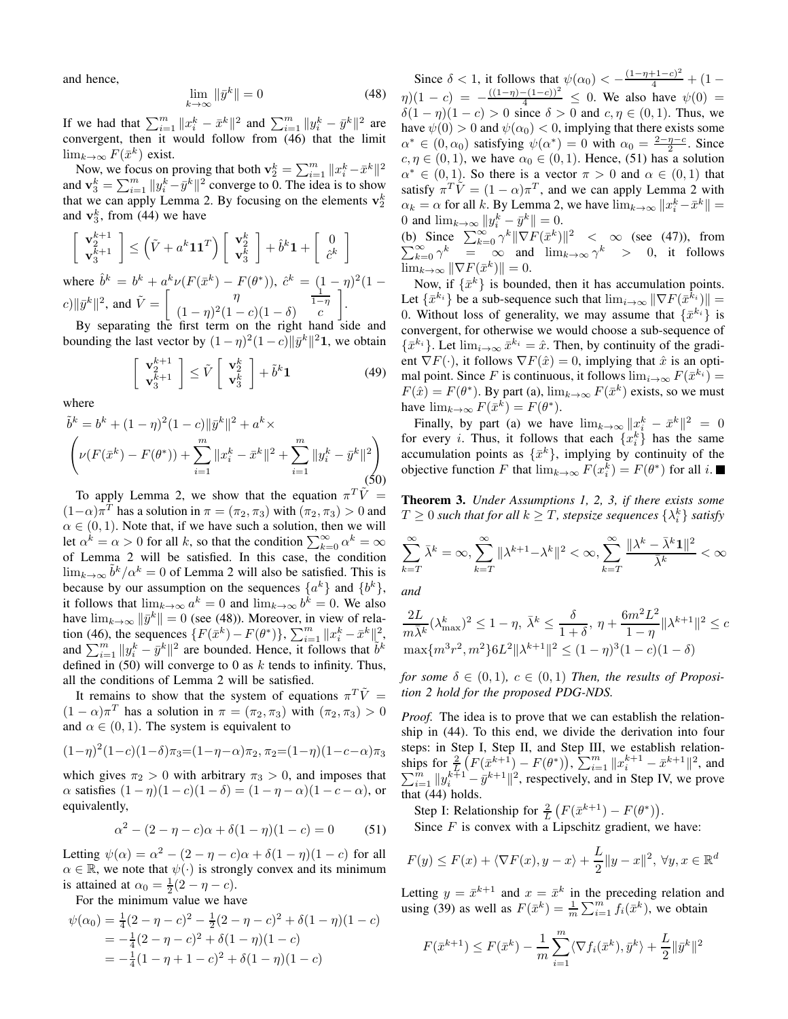and hence,

$$
\lim_{k \to \infty} \|\bar{y}^k\| = 0 \tag{48}
$$

If we had that  $\sum_{i=1}^{m} ||x_i^k - \bar{x}^k||^2$  and  $\sum_{i=1}^{m} ||y_i^k - \bar{y}^k||^2$  are convergent, then it would follow from (46) that the limit  $\lim_{k\to\infty} F(\bar{x}^k)$  exist.

Now, we focus on proving that both  $\mathbf{v}_2^k = \sum_{i=1}^m ||x_i^k - \bar{x}^k||^2$ and  $\mathbf{v}_3^k = \sum_{i=1}^m ||y_i^k - \bar{y}^k||^2$  converge to 0. The idea is to show that we can apply Lemma 2. By focusing on the elements  $\mathbf{v}_2^k$ and  $\mathbf{v}_3^k$ , from (44) we have

$$
\begin{bmatrix} \mathbf{v}_2^{k+1} \\ \mathbf{v}_3^{k+1} \end{bmatrix} \leq \left(\tilde{V} + a^k \mathbf{1} \mathbf{1}^T\right) \begin{bmatrix} \mathbf{v}_2^k \\ \mathbf{v}_3^k \end{bmatrix} + \hat{b}^k \mathbf{1} + \begin{bmatrix} 0 \\ \hat{c}^k \end{bmatrix}
$$
  
where  $\hat{b}^k = b^k + a^k \nu(F(\bar{x}^k) - F(\theta^*)), \ \hat{c}^k = (1 - \eta)^2 (1 - c) \|\bar{y}^k\|^2$ , and  $\tilde{V} = \begin{bmatrix} \eta \\ (1 - \eta)^2 (1 - c) (1 - \delta) \end{bmatrix} \frac{1}{c} \mathbf{1}$ .

By separating the first term on the right hand side and separating the first term on the right hand side and bounding the last vector by  $(1 - \eta)^2 (1 - c) ||\bar{y}^k||^2$ **1**, we obtain

$$
\begin{bmatrix} \mathbf{v}_2^{k+1} \\ \mathbf{v}_3^{k+1} \end{bmatrix} \le \tilde{V} \begin{bmatrix} \mathbf{v}_2^k \\ \mathbf{v}_3^k \end{bmatrix} + \tilde{b}^k \mathbf{1}
$$
 (49)

where

$$
\tilde{b}^k = b^k + (1 - \eta)^2 (1 - c) \|\bar{y}^k\|^2 + a^k \times \left( \nu(F(\bar{x}^k) - F(\theta^*)) + \sum_{i=1}^m \|x_i^k - \bar{x}^k\|^2 + \sum_{i=1}^m \|y_i^k - \bar{y}^k\|^2 \right)
$$
\n(50)

To apply Lemma 2, we show that the equation  $\pi^T \tilde{V} =$  $(1-\alpha)\pi^T$  has a solution in  $\pi = (\pi_2, \pi_3)$  with  $(\pi_2, \pi_3) > 0$  and  $\alpha \in (0, 1)$ . Note that, if we have such a solution, then we will let  $\alpha^k = \alpha > 0$  for all k, so that the condition  $\sum_{k=0}^{\infty} \alpha^k = \infty$ of Lemma 2 will be satisfied. In this case, the condition  $\lim_{k\to\infty} \tilde{b}^k/\alpha^k = 0$  of Lemma 2 will also be satisfied. This is because by our assumption on the sequences  $\{a^k\}$  and  $\{b^k\}$ , it follows that  $\lim_{k \to \infty} a^k = 0$  and  $\lim_{k \to \infty} b^k = 0$ . We also have  $\lim_{k\to\infty} \|\bar{y}^k\| = 0$  (see (48)). Moreover, in view of relation (46), the sequences  $\{F(\bar{x}^k) - F(\theta^*)\}, \sum_{i=1}^m \|x_i^k - \bar{x}^k\|_{\mathcal{I},\mathcal{I}}^2$ and  $\sum_{i=1}^{m} ||y_i^k - \bar{y}^k||^2$  are bounded. Hence, it follows that  $\tilde{b}^k$ defined in  $(50)$  will converge to 0 as k tends to infinity. Thus, all the conditions of Lemma 2 will be satisfied.

It remains to show that the system of equations  $\pi^T \tilde{V} =$  $(1 - \alpha)\pi^T$  has a solution in  $\pi = (\pi_2, \pi_3)$  with  $(\pi_2, \pi_3) > 0$ and  $\alpha \in (0, 1)$ . The system is equivalent to

$$
(1-\eta)^2(1-c)(1-\delta)\pi_3=(1-\eta-\alpha)\pi_2, \pi_2=(1-\eta)(1-c-\alpha)\pi_3
$$

which gives  $\pi_2 > 0$  with arbitrary  $\pi_3 > 0$ , and imposes that  $\alpha$  satisfies  $(1 - \eta)(1 - c)(1 - \delta) = (1 - \eta - \alpha)(1 - c - \alpha)$ , or equivalently,

$$
\alpha^{2} - (2 - \eta - c)\alpha + \delta(1 - \eta)(1 - c) = 0 \tag{51}
$$

Letting  $\psi(\alpha) = \alpha^2 - (2 - \eta - c)\alpha + \delta(1 - \eta)(1 - c)$  for all  $\alpha \in \mathbb{R}$ , we note that  $\psi(\cdot)$  is strongly convex and its minimum is attained at  $\alpha_0 = \frac{1}{2}(2 - \eta - c)$ .

For the minimum value we have

$$
\psi(\alpha_0) = \frac{1}{4}(2 - \eta - c)^2 - \frac{1}{2}(2 - \eta - c)^2 + \delta(1 - \eta)(1 - c)
$$
  
=  $-\frac{1}{4}(2 - \eta - c)^2 + \delta(1 - \eta)(1 - c)$   
=  $-\frac{1}{4}(1 - \eta + 1 - c)^2 + \delta(1 - \eta)(1 - c)$ 

Since  $\delta$  < 1, it follows that  $\psi(\alpha_0) < -\frac{(1-\eta+1-c)^2}{4} + (1-\eta+c)^2$  $\eta(1-c) = -\frac{((1-\eta)-(1-c))^2}{4} \leq 0$ . We also have  $\psi(0) =$  $\delta(1 - \eta)(1 - c) > 0$  since  $\delta > 0$  and  $c, \eta \in (0, 1)$ . Thus, we have  $\psi(0) > 0$  and  $\psi(\alpha_0) < 0$ , implying that there exists some  $\alpha^* \in (0, \alpha_0)$  satisfying  $\psi(\alpha^*) = 0$  with  $\alpha_0 = \frac{2-\eta-c}{2}$ . Since  $c, \eta \in (0, 1)$ , we have  $\alpha_0 \in (0, 1)$ . Hence, (51) has a solution  $\alpha^* \in (0,1)$ . So there is a vector  $\pi > 0$  and  $\alpha \in (0,1)$  that satisfy  $\pi^T \tilde{V} = (1 - \alpha)\pi^T$ , and we can apply Lemma 2 with  $\alpha_k = \alpha$  for all k. By Lemma 2, we have  $\lim_{k \to \infty} ||x_i^k - \bar{x}^k|| =$ 0 and  $\lim_{k \to \infty} ||y_i^k - \bar{y}^k|| = 0.$ 

(b) Since  $\sum_{k=0}^{\infty} \gamma^k \|\nabla F(\bar{x}^k)\|$  $\sum$ Since  $\sum_{k=0}^{\infty} \gamma^k \|\nabla F(\bar{x}^k)\|^2 < \infty$  (see (47)), from  $\sum_{k=0}^{\infty} \gamma^k = \infty$  and  $\lim_{k \to \infty} \gamma^k > 0$ , it follows  $\lim_{k\to\infty} \|\nabla F(\bar{x}^k)\| = 0.$ 

Now, if  $\{\bar{x}^k\}$  is bounded, then it has accumulation points. Let  $\{\bar{x}^{k_i}\}\$  be a sub-sequence such that  $\lim_{i\to\infty} \|\nabla F(\bar{x}^{k_i})\|$  = 0. Without loss of generality, we may assume that  $\{\bar{x}^{k_i}\}\$ is convergent, for otherwise we would choose a sub-sequence of  $\{\bar{x}^{k_i}\}\right)$ . Let  $\lim_{i\to\infty}\bar{x}^{k_i}=\hat{x}$ . Then, by continuity of the gradient  $\nabla F(\cdot)$ , it follows  $\nabla F(\hat{x}) = 0$ , implying that  $\hat{x}$  is an optimal point. Since F is continuous, it follows  $\lim_{i\to\infty} F(\bar{x}^{k_i}) =$  $F(\hat{x}) = F(\theta^*)$ . By part (a),  $\lim_{k \to \infty} F(\bar{x}^k)$  exists, so we must have  $\lim_{k \to \infty} F(\bar{x}^k) = F(\theta^*).$ 

Finally, by part (a) we have  $\lim_{k\to\infty} ||x_i^k - \bar{x}^k||^2 = 0$ for every *i*. Thus, it follows that each  $\{x_i^k\}$  has the same accumulation points as  $\{\bar{x}^k\}$ , implying by continuity of the objective function F that  $\lim_{k\to\infty} F(x_i^k) = F(\theta^*)$  for all *i*.

Theorem 3. *Under Assumptions 1, 2, 3, if there exists some*  $T\geq 0$  such that for all  $k\geq T$ , stepsize sequences  $\{\lambda^k_i\}$  satisfy

$$
\sum_{k=T}^{\infty} \bar{\lambda}^k = \infty, \sum_{k=T}^{\infty} \|\lambda^{k+1} - \lambda^k\|^2 < \infty, \sum_{k=T}^{\infty} \frac{\|\lambda^k - \bar{\lambda}^k \mathbf{1}\|^2}{\bar{\lambda}^k} < \infty
$$

*and*

$$
\frac{2L}{m\bar{\lambda}^k}(\lambda_{\max}^k)^2 \le 1 - \eta, \ \bar{\lambda}^k \le \frac{\delta}{1+\delta}, \ \eta + \frac{6m^2L^2}{1-\eta}\|\lambda^{k+1}\|^2 \le c
$$

$$
\max\{m^3r^2, m^2\}6L^2\|\lambda^{k+1}\|^2 \le (1-\eta)^3(1-c)(1-\delta)
$$

*for some*  $\delta \in (0,1)$ ,  $c \in (0,1)$  *Then, the results of Proposition 2 hold for the proposed PDG-NDS.*

*Proof.* The idea is to prove that we can establish the relationship in (44). To this end, we divide the derivation into four steps: in Step I, Step II, and Step III, we establish relationships for  $\frac{2}{L}(\overline{F}(\overline{x}^{k+1}) - F(\theta^*)), \sum_{i=1}^m \|x_i^{k+1} - \overline{x}^{k+1}\|^2$  $\sum$ ips for  $\frac{2}{L} (F(\bar{x}^{k+1}) - F(\theta^*)), \sum_{i=1}^m \|x_i^{k+1} - \bar{x}^{k+1}\|^2$ , and  $\sum_{i=1}^m \|y_i^{k+1} - \bar{y}^{k+1}\|^2$ , respectively, and in Step IV, we prove that (44) holds.

Step I: Relationship for  $\frac{2}{L} \left( F(\bar{x}^{k+1}) - F(\theta^*) \right)$ . Since  $F$  is convex with a Lipschitz gradient, we have:

$$
F(y) \le F(x) + \langle \nabla F(x), y - x \rangle + \frac{L}{2} ||y - x||^2, \ \forall y, x \in \mathbb{R}^d
$$

Letting  $y = \bar{x}^{k+1}$  and  $x = \bar{x}^k$  in the preceding relation and using (39) as well as  $F(\bar{x}^k) = \frac{1}{m} \sum_{i=1}^m f_i(\bar{x}^k)$ , we obtain

$$
F(\bar{x}^{k+1}) \le F(\bar{x}^k) - \frac{1}{m} \sum_{i=1}^m \langle \nabla f_i(\bar{x}^k), \bar{y}^k \rangle + \frac{L}{2} ||\bar{y}^k||^2
$$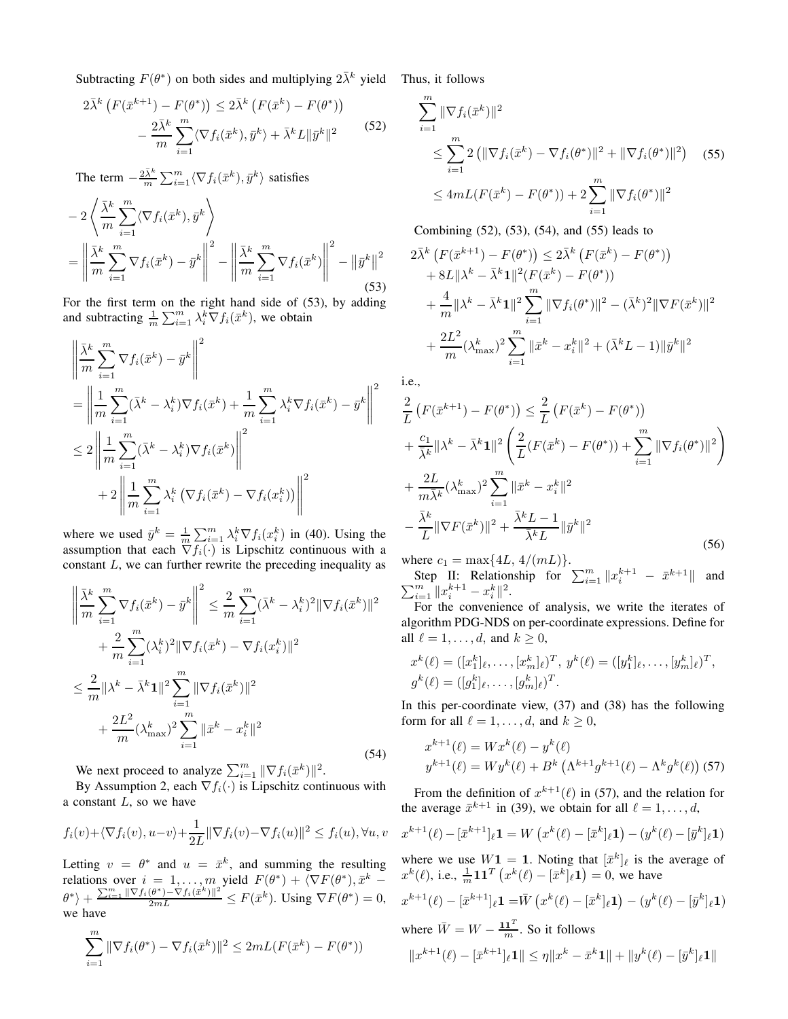Subtracting  $F(\theta^*)$  on both sides and multiplying  $2\overline{\lambda}^k$  yield Thus, it follows

$$
2\bar{\lambda}^{k} \left( F(\bar{x}^{k+1}) - F(\theta^{*}) \right) \leq 2\bar{\lambda}^{k} \left( F(\bar{x}^{k}) - F(\theta^{*}) \right) - \frac{2\bar{\lambda}^{k}}{m} \sum_{i=1}^{m} \langle \nabla f_{i}(\bar{x}^{k}), \bar{y}^{k} \rangle + \bar{\lambda}^{k} L \|\bar{y}^{k}\|^{2}
$$
(52)

The term  $-\frac{2\bar{\lambda}^k}{m} \sum_{i=1}^m \langle \nabla f_i(\bar{x}^k), \bar{y}^k \rangle$  satisfies

$$
-2\left\langle \frac{\bar{\lambda}^k}{m} \sum_{i=1}^m \langle \nabla f_i(\bar{x}^k), \bar{y}^k \rangle \right\rangle
$$
  
=  $\left\| \frac{\bar{\lambda}^k}{m} \sum_{i=1}^m \nabla f_i(\bar{x}^k) - \bar{y}^k \right\|^2 - \left\| \frac{\bar{\lambda}^k}{m} \sum_{i=1}^m \nabla f_i(\bar{x}^k) \right\|^2 - \left\| \bar{y}^k \right\|^2$  (53)

For the first term on the right hand side of (53), by adding and subtracting  $\frac{1}{m} \sum_{i=1}^{m} \lambda_i^k \nabla f_i(\bar{x}^k)$ , we obtain

$$
\begin{split}\n&\left\| \frac{\bar{\lambda}^k}{m} \sum_{i=1}^m \nabla f_i(\bar{x}^k) - \bar{y}^k \right\|^2 \\
&= \left\| \frac{1}{m} \sum_{i=1}^m (\bar{\lambda}^k - \lambda_i^k) \nabla f_i(\bar{x}^k) + \frac{1}{m} \sum_{i=1}^m \lambda_i^k \nabla f_i(\bar{x}^k) - \bar{y}^k \right\|^2 \\
&\leq 2 \left\| \frac{1}{m} \sum_{i=1}^m (\bar{\lambda}^k - \lambda_i^k) \nabla f_i(\bar{x}^k) \right\|^2 \\
&+ 2 \left\| \frac{1}{m} \sum_{i=1}^m \lambda_i^k \left( \nabla f_i(\bar{x}^k) - \nabla f_i(x}^k) \right) \right\|^2\n\end{split}
$$

where we used  $\bar{y}^k = \frac{1}{m} \sum_{i=1}^m \lambda_i^k \nabla f_i(x_i^k)$  in (40). Using the assumption that each  $\nabla f_i(\cdot)$  is Lipschitz continuous with a constant  $L$ , we can further rewrite the preceding inequality as

$$
\left\| \frac{\bar{\lambda}^k}{m} \sum_{i=1}^m \nabla f_i(\bar{x}^k) - \bar{y}^k \right\|^2 \le \frac{2}{m} \sum_{i=1}^m (\bar{\lambda}^k - \lambda_i^k)^2 \|\nabla f_i(\bar{x}^k)\|^2 + \frac{2}{m} \sum_{i=1}^m (\lambda_i^k)^2 \|\nabla f_i(\bar{x}^k) - \nabla f_i(x_i^k)\|^2 \le \frac{2}{m} \|\lambda^k - \bar{\lambda}^k \mathbf{1}\|^2 \sum_{i=1}^m \|\nabla f_i(\bar{x}^k)\|^2 + \frac{2L^2}{m} (\lambda_{\text{max}}^k)^2 \sum_{i=1}^m \|\bar{x}^k - x_i^k\|^2
$$
\n(54)

We next proceed to analyze  $\sum_{i=1}^{m} \|\nabla f_i(\bar{x}^k)\|^2$ .

By Assumption 2, each  $\nabla f_i(\cdot)$  is Lipschitz continuous with a constant  $L$ , so we have

$$
f_i(v) + \langle \nabla f_i(v), u - v \rangle + \frac{1}{2L} \|\nabla f_i(v) - \nabla f_i(u)\|^2 \le f_i(u), \forall u, v
$$

Letting  $v = \theta^*$  and  $u = \bar{x}^k$ , and summing the resulting relations over  $i = 1, ..., m$  yield  $F(\theta^*) + \langle \nabla F(\theta^*), \bar{x}^k \left\{\theta^*\right\}+\frac{\sum_{i=1}^m\|\nabla f_i(\theta^*)-\nabla f_i(\tilde{x}^k)\|^2}{2mL}\leq F(\tilde{x}^k). \text{ Using }\nabla F(\theta^*)=0,$ we have

$$
\sum_{i=1}^{m} \|\nabla f_i(\theta^*) - \nabla f_i(\bar{x}^k)\|^2 \le 2mL(F(\bar{x}^k) - F(\theta^*))
$$

$$
\sum_{i=1}^{m} \|\nabla f_i(\bar{x}^k)\|^2
$$
\n
$$
\leq \sum_{i=1}^{m} 2 \left( \|\nabla f_i(\bar{x}^k) - \nabla f_i(\theta^*)\|^2 + \|\nabla f_i(\theta^*)\|^2 \right) \quad (55)
$$
\n
$$
\leq 4mL(F(\bar{x}^k) - F(\theta^*)) + 2\sum_{i=1}^{m} \|\nabla f_i(\theta^*)\|^2
$$

Combining (52), (53), (54), and (55) leads to

$$
2\bar{\lambda}^{k} \left( F(\bar{x}^{k+1}) - F(\theta^{*}) \right) \leq 2\bar{\lambda}^{k} \left( F(\bar{x}^{k}) - F(\theta^{*}) \right)
$$
  
+8L||\lambda^{k} - \bar{\lambda}^{k}\mathbf{1}||^{2} (F(\bar{x}^{k}) - F(\theta^{\*}))  
+ \frac{4}{m}||\lambda^{k} - \bar{\lambda}^{k}\mathbf{1}||^{2} \sum\_{i=1}^{m} ||\nabla f\_{i}(\theta^{\*})||^{2} - (\bar{\lambda}^{k})^{2} ||\nabla F(\bar{x}^{k})||^{2}  
+ \frac{2L^{2}}{m} (\lambda\_{\max}^{k})^{2} \sum\_{i=1}^{m} ||\bar{x}^{k} - x\_{i}^{k}||^{2} + (\bar{\lambda}^{k}L - 1)||\bar{y}^{k}||^{2}

i.e.,

$$
\frac{2}{L} \left( F(\bar{x}^{k+1}) - F(\theta^*) \right) \leq \frac{2}{L} \left( F(\bar{x}^k) - F(\theta^*) \right) \n+ \frac{c_1}{\bar{\lambda}^k} ||\lambda^k - \bar{\lambda}^k \mathbf{1}||^2 \left( \frac{2}{L} (F(\bar{x}^k) - F(\theta^*) ) + \sum_{i=1}^m ||\nabla f_i(\theta^*)||^2 \right) \n+ \frac{2L}{m\bar{\lambda}^k} (\lambda_{\max}^k)^2 \sum_{i=1}^m ||\bar{x}^k - x_i^k||^2 \n- \frac{\bar{\lambda}^k}{L} ||\nabla F(\bar{x}^k) ||^2 + \frac{\bar{\lambda}^k L - 1}{\bar{\lambda}^k L} ||\bar{y}^k||^2
$$
\n(56)

where  $c_1 = \max\{4L, 4/(mL)\}.$ 

Step II: Relationship for  $\sum_{i=1}^{m} ||x_i^{k+1} - \bar{x}^{k+1}$  $\sum$ Step II: Relationship for  $\sum_{i=1}^{m} ||x_i^{k+1} - \bar{x}^{k+1}||$  and  $\sum_{i=1}^{m} ||x_i^{k+1} - x_i^k||^2$ .

For the convenience of analysis, we write the iterates of algorithm PDG-NDS on per-coordinate expressions. Define for all  $\ell = 1, \ldots, d$ , and  $k \geq 0$ ,

$$
x^{k}(\ell) = ([x_{1}^{k}]_{\ell}, \ldots, [x_{m}^{k}]_{\ell})^{T}, y^{k}(\ell) = ([y_{1}^{k}]_{\ell}, \ldots, [y_{m}^{k}]_{\ell})^{T},
$$
  

$$
g^{k}(\ell) = ([g_{1}^{k}]_{\ell}, \ldots, [g_{m}^{k}]_{\ell})^{T}.
$$

In this per-coordinate view, (37) and (38) has the following form for all  $\ell = 1, \ldots, d$ , and  $k \geq 0$ ,

$$
x^{k+1}(\ell) = Wx^k(\ell) - y^k(\ell)
$$
  

$$
y^{k+1}(\ell) = Wy^k(\ell) + B^k(\Lambda^{k+1}g^{k+1}(\ell) - \Lambda^k g^k(\ell))
$$
 (57)

From the definition of  $x^{k+1}(\ell)$  in (57), and the relation for the average  $\bar{x}^{k+1}$  in (39), we obtain for all  $\ell = 1, \ldots, d$ ,

$$
x^{k+1}(\ell) - [\bar{x}^{k+1}]_{\ell} \mathbf{1} = W\left(x^k(\ell) - [\bar{x}^k]_{\ell} \mathbf{1}\right) - (y^k(\ell) - [\bar{y}^k]_{\ell} \mathbf{1})
$$

where we use  $W1 = 1$ . Noting that  $[\bar{x}^k]_\ell$  is the average of  $x^k(\ell)$ , i.e.,  $\frac{1}{m}$ **11**<sup>T</sup>  $(x^k(\ell) - [\bar{x}^k]_\ell$ **1** $) = 0$ , we have

$$
x^{k+1}(\ell) - [\bar{x}^{k+1}]_{\ell} \mathbf{1} = \bar{W} (x^k(\ell) - [\bar{x}^k]_{\ell} \mathbf{1}) - (y^k(\ell) - [\bar{y}^k]_{\ell} \mathbf{1})
$$

where  $\bar{W} = W - \frac{\mathbf{1} \mathbf{1}^T}{m}$ . So it follows

$$
||x^{k+1}(\ell)-[\bar{x}^{k+1}]_{\ell}\mathbf{1}||\leq \eta||x^k-\bar{x}^k\mathbf{1}||+||y^k(\ell)-[\bar{y}^k]_{\ell}\mathbf{1}||
$$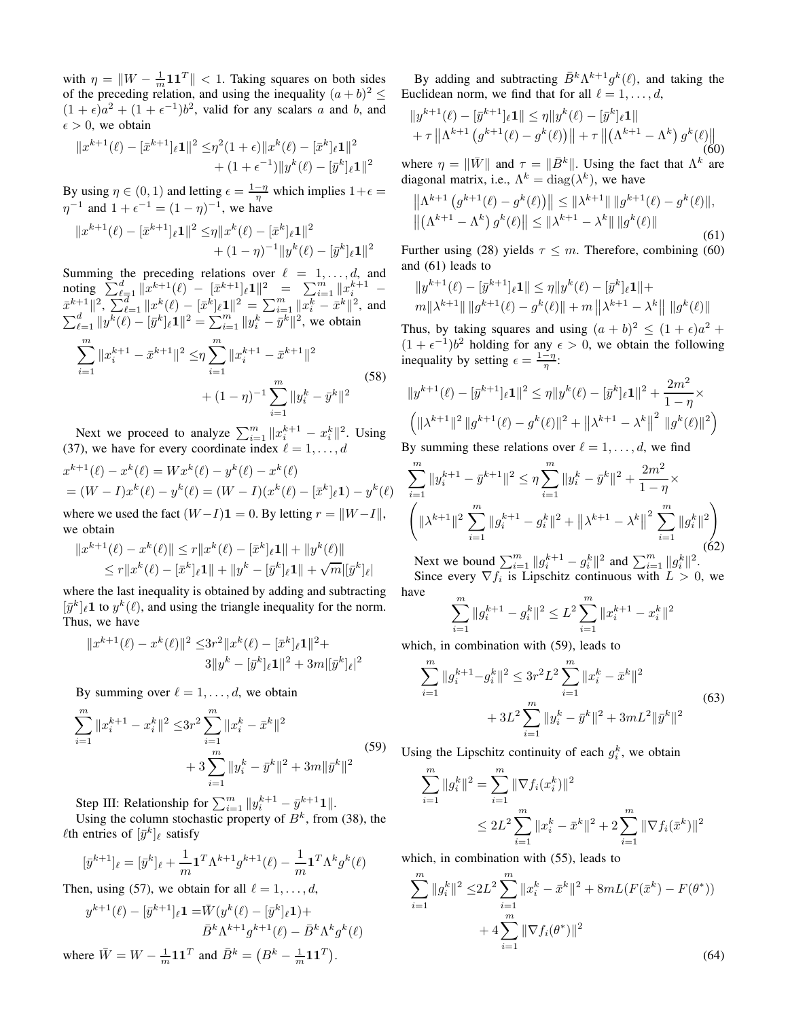with  $\eta = \|W - \frac{1}{m} \mathbf{1} \mathbf{1}^T\| < 1$ . Taking squares on both sides of the preceding relation, and using the inequality  $(a + b)^2 \le$  $(1 + \epsilon)a^2 + (1 + \epsilon^{-1})b^2$ , valid for any scalars a and b, and  $\epsilon > 0$ , we obtain

$$
||x^{k+1}(\ell) - [\bar{x}^{k+1}]_{\ell} \mathbf{1}||^2 \leq \eta^2 (1+\epsilon) ||x^k(\ell) - [\bar{x}^k]_{\ell} \mathbf{1}||^2 + (1+\epsilon^{-1}) ||y^k(\ell) - [\bar{y}^k]_{\ell} \mathbf{1}||^2
$$

By using  $\eta \in (0, 1)$  and letting  $\epsilon = \frac{1-\eta}{\eta}$  which implies  $1+\epsilon =$  $\eta^{-1}$  and  $1 + \epsilon^{-1} = (1 - \eta)^{-1}$ , we have

$$
||x^{k+1}(\ell) - [\bar{x}^{k+1}]_{\ell} 1||^{2} \leq \eta ||x^{k}(\ell) - [\bar{x}^{k}]_{\ell} 1||^{2} + (1 - \eta)^{-1} ||y^{k}(\ell) - [\bar{y}^{k}]_{\ell} 1||^{2}
$$

Summing the preceding relations over  $\ell = 1, \ldots, d$ , and noting  $\sum_{\ell=1}^d ||x^{k+1}(\ell) - [\bar{x}^{k+1}]_\ell 1||^2 = \sum_{i=1}^m ||x_i^{k+1} \bar{x}^{k+1} \|^{2}, \sum_{\ell=1}^{d} \|x^{k}(\ell) - [\bar{x}^{k}]_{\ell} \mathbf{1} \|^{2} = \sum_{i=1}^{m} \|\bar{x}_{i}^{k} - \bar{x}^{k} \|^{2},$  and  $\sum_{\ell=1}^d \|y^{\overline{k}}(\ell) - [\bar{y}^k]_\ell \mathbf{1}\|^2 = \sum_{i=1}^m \|y^k_i - \bar{y}^k\|^2$ , we obtain

$$
\sum_{i=1}^{m} \|x_i^{k+1} - \bar{x}^{k+1}\|^2 \leq \eta \sum_{i=1}^{m} \|x_i^{k+1} - \bar{x}^{k+1}\|^2
$$
  
+ 
$$
(1 - \eta)^{-1} \sum_{i=1}^{m} \|y_i^k - \bar{y}^k\|^2
$$
 (58)

Next we proceed to analyze  $\sum_{i=1}^{m} ||x_i^{k+1} - x_i^k||^2$ . Using (37), we have for every coordinate index  $\ell = 1, \ldots, d$ 

$$
x^{k+1}(\ell) - x^k(\ell) = Wx^k(\ell) - y^k(\ell) - x^k(\ell)
$$
  
=  $(W - I)x^k(\ell) - y^k(\ell) = (W - I)(x^k(\ell) - [\bar{x}^k]_{\ell}\mathbf{1}) - y^k(\ell)$ 

where we used the fact  $(W-I)\mathbf{1} = 0$ . By letting  $r = ||W-I||$ , we obtain

$$
||x^{k+1}(\ell) - x^k(\ell)|| \le r||x^k(\ell) - [\bar{x}^k]_{\ell}1|| + ||y^k(\ell)||
$$
  

$$
\le r||x^k(\ell) - [\bar{x}^k]_{\ell}1|| + ||y^k - [\bar{y}^k]_{\ell}1|| + \sqrt{m}||\bar{y}^k]_{\ell}|
$$

where the last inequality is obtained by adding and subtracting  $[\bar{y}^k]_\ell$ 1 to  $y^k(\ell)$ , and using the triangle inequality for the norm. Thus, we have

$$
||x^{k+1}(\ell) - x^k(\ell)||^2 \le 3r^2 ||x^k(\ell) - [\bar{x}^k]_{\ell} 1||^2 +
$$
  

$$
3||y^k - [\bar{y}^k]_{\ell} 1||^2 + 3m||\bar{y}^k|_{\ell}|^2
$$

By summing over  $\ell = 1, \ldots, d$ , we obtain

$$
\sum_{i=1}^{m} \|x_i^{k+1} - x_i^k\|^2 \le 3r^2 \sum_{i=1}^{m} \|x_i^k - \bar{x}^k\|^2
$$
  
+ 
$$
3 \sum_{i=1}^{m} \|y_i^k - \bar{y}^k\|^2 + 3m \|\bar{y}^k\|^2
$$
 (59)

Step III: Relationship for  $\sum_{i=1}^{m} ||y_i^{k+1} - \bar{y}_i^{k+1}1||$ .

Using the column stochastic property of  $B^k$ , from (38), the  $\ell$ th entries of  $[\bar{y}^k]_\ell$  satisfy

$$
[\bar{y}^{k+1}]_\ell = [\bar{y}^k]_\ell + \frac{1}{m} \mathbf{1}^T \Lambda^{k+1} g^{k+1}(\ell) - \frac{1}{m} \mathbf{1}^T \Lambda^k g^k(\ell)
$$

Then, using (57), we obtain for all  $\ell = 1, \ldots, d$ ,

$$
y^{k+1}(\ell) - [\bar{y}^{k+1}]_{\ell} \mathbf{1} = \bar{W}(y^k(\ell) - [\bar{y}^k]_{\ell} \mathbf{1}) +
$$

$$
\bar{B}^k \Lambda^{k+1} g^{k+1}(\ell) - \bar{B}^k \Lambda^k g^k(\ell)
$$
where  $\bar{W} = W - \frac{1}{m} \mathbf{1} \mathbf{1}^T$  and  $\bar{B}^k = (B^k - \frac{1}{m} \mathbf{1} \mathbf{1}^T)$ .

By adding and subtracting  $\bar{B}^k \Lambda^{k+1} g^k(\ell)$ , and taking the Euclidean norm, we find that for all  $\ell = 1, \ldots, d$ ,

$$
||y^{k+1}(\ell) - [\bar{y}^{k+1}]_{\ell} \mathbf{1}|| \leq \eta ||y^k(\ell) - [\bar{y}^k]_{\ell} \mathbf{1}||
$$
  
+  $\tau ||\Lambda^{k+1} (g^{k+1}(\ell) - g^k(\ell))|| + \tau ||(\Lambda^{k+1} - \Lambda^k) g^k(\ell)||$   
(60)

where  $\eta = \|\bar{W}\|$  and  $\tau = \|\bar{B}^k\|$ . Using the fact that  $\Lambda^k$  are diagonal matrix, i.e.,  $\Lambda^k = \text{diag}(\lambda^k)$ , we have

$$
\left\| \Lambda^{k+1} \left( g^{k+1}(\ell) - g^k(\ell) \right) \right\| \leq \left\| \lambda^{k+1} \right\| \left\| g^{k+1}(\ell) - g^k(\ell) \right\|,
$$
  

$$
\left\| \left( \Lambda^{k+1} - \Lambda^k \right) g^k(\ell) \right\| \leq \left\| \lambda^{k+1} - \lambda^k \right\| \left\| g^k(\ell) \right\|
$$
 (61)

Further using (28) yields  $\tau \leq m$ . Therefore, combining (60) and (61) leads to

$$
||y^{k+1}(\ell) - [\bar{y}^{k+1}]_{\ell} \mathbf{1}|| \le \eta ||y^k(\ell) - [\bar{y}^k]_{\ell} \mathbf{1}|| +
$$
  

$$
m||\lambda^{k+1}|| ||g^{k+1}(\ell) - g^k(\ell)|| + m ||\lambda^{k+1} - \lambda^k|| ||g^k(\ell)||
$$

Thus, by taking squares and using  $(a + b)^2 \le (1 + \epsilon)a^2 +$  $(1 + \epsilon^{-1})b^2$  holding for any  $\epsilon > 0$ , we obtain the following inequality by setting  $\epsilon = \frac{1-\eta}{\eta}$ :

$$
||y^{k+1}(\ell) - [\bar{y}^{k+1}]_{\ell} \mathbf{1}||^2 \le \eta ||y^k(\ell) - [\bar{y}^k]_{\ell} \mathbf{1}||^2 + \frac{2m^2}{1-\eta} \times
$$
  

$$
||\lambda^{k+1}||^2 ||g^{k+1}(\ell) - g^k(\ell)||^2 + ||\lambda^{k+1} - \lambda^k||^2 ||g^k(\ell)||^2
$$

By summing these relations over  $\ell = 1, \ldots, d$ , we find

$$
\sum_{i=1}^{m} \|y_i^{k+1} - \bar{y}^{k+1}\|^2 \le \eta \sum_{i=1}^{m} \|y_i^k - \bar{y}^k\|^2 + \frac{2m^2}{1-\eta} \times \left( \|\lambda^{k+1}\|^2 \sum_{i=1}^{m} \|g_i^{k+1} - g_i^k\|^2 + \|\lambda^{k+1} - \lambda^k\|^2 \sum_{i=1}^{m} \|g_i^k\|^2 \right) \tag{62}
$$

Next we bound  $\sum_{i=1}^{m} ||g_i^{k+1} - g_i^k||^2$  and  $\sum_{i=1}^{m} ||g_i^k||^2$ . Since every  $\nabla f_i$  is Lipschitz continuous with  $L > 0$ , we have

$$
\sum_{i=1}^{m} \|g_i^{k+1} - g_i^k\|^2 \le L^2 \sum_{i=1}^{m} \|x_i^{k+1} - x_i^k\|^2
$$

which, in combination with (59), leads to

$$
\sum_{i=1}^{m} \|g_i^{k+1} - g_i^k\|^2 \le 3r^2 L^2 \sum_{i=1}^{m} \|x_i^k - \bar{x}^k\|^2
$$
  
+ 
$$
3L^2 \sum_{i=1}^{m} \|y_i^k - \bar{y}^k\|^2 + 3mL^2 \|\bar{y}^k\|^2
$$
 (63)

Using the Lipschitz continuity of each  $g_i^k$ , we obtain

$$
\sum_{i=1}^{m} \|g_i^k\|^2 = \sum_{i=1}^{m} \|\nabla f_i(x_i^k)\|^2
$$
  

$$
\leq 2L^2 \sum_{i=1}^{m} \|x_i^k - \bar{x}^k\|^2 + 2 \sum_{i=1}^{m} \|\nabla f_i(\bar{x}^k)\|^2
$$

which, in combination with (55), leads to

$$
\sum_{i=1}^{m} \|g_i^k\|^2 \le 2L^2 \sum_{i=1}^{m} \|x_i^k - \bar{x}^k\|^2 + 8mL(F(\bar{x}^k) - F(\theta^*))
$$
  
+  $4 \sum_{i=1}^{m} \|\nabla f_i(\theta^*)\|^2$  (64)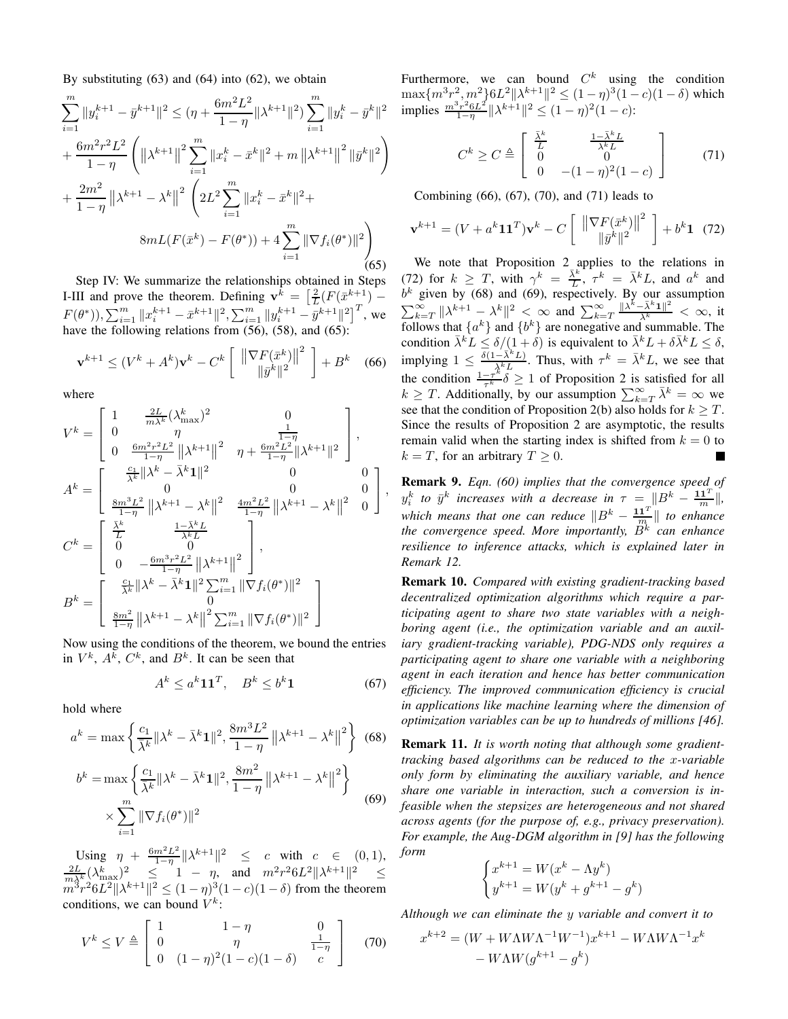By substituting  $(63)$  and  $(64)$  into  $(62)$ , we obtain

$$
\sum_{i=1}^{m} \|y_i^{k+1} - \bar{y}^{k+1}\|^2 \leq (\eta + \frac{6m^2L^2}{1-\eta} \|\lambda^{k+1}\|^2) \sum_{i=1}^{m} \|y_i^k - \bar{y}^k\|^2
$$
  
+ 
$$
\frac{6m^2r^2L^2}{1-\eta} \left( \|\lambda^{k+1}\|^2 \sum_{i=1}^{m} \|x_i^k - \bar{x}^k\|^2 + m \|\lambda^{k+1}\|^2 \|\bar{y}^k\|^2 \right)
$$
  
+ 
$$
\frac{2m^2}{1-\eta} \|\lambda^{k+1} - \lambda^k\|^2 \left( 2L^2 \sum_{i=1}^{m} \|x_i^k - \bar{x}^k\|^2 +
$$
  

$$
8mL(F(\bar{x}^k) - F(\theta^*)) + 4 \sum_{i=1}^{m} \|\nabla f_i(\theta^*)\|^2 \right)
$$
(65)

Step IV: We summarize the relationships obtained in Steps I-III and prove the theorem. Defining  $\mathbf{v}^{\bar{k}} = \left[\frac{2}{L}(F(\bar{x}^{k+1}) -$ L  $F(\theta^*), \sum_{i=1}^m \|x_i^{k+1} - \bar{x}^{k+1}\|^2, \sum_{i=1}^m \|y_i^{k+1} - \bar{y}^{k+1}\|^2$ , we have the following relations from  $(56)$ ,  $(58)$ , and  $(65)$ :

$$
\mathbf{v}^{k+1} \le (V^k + A^k)\mathbf{v}^k - C^k \left[ \begin{array}{c} \left\| \nabla F(\bar{x}^k) \right\|^2 \\ \|\bar{y}^k\|^2 \end{array} \right] + B^k \quad (66)
$$

where

$$
V^{k} = \begin{bmatrix} 1 & \frac{2L}{m\lambda^{k}}(\lambda_{\text{max}}^{k})^{2} & 0\\ 0 & \eta & \frac{1}{1-\eta}\\ 0 & \frac{6m^{2}r^{2}L^{2}}{1-\eta}\|\lambda^{k+1}\|^{2} & \eta + \frac{6m^{2}L^{2}}{1-\eta}\|\lambda^{k+1}\|^{2} \end{bmatrix},
$$
  
\n
$$
A^{k} = \begin{bmatrix} \frac{c_{1}}{\lambda^{k}}\|\lambda^{k} - \bar{\lambda}^{k}\mathbf{1}\|^{2} & 0 & 0\\ 0 & 0 & 0\\ \frac{8m^{3}L^{2}}{1-\eta}\|\lambda^{k+1} - \lambda^{k}\|^{2} & \frac{4m^{2}L^{2}}{1-\eta}\|\lambda^{k+1} - \lambda^{k}\|^{2} & 0 \end{bmatrix},
$$
  
\n
$$
C^{k} = \begin{bmatrix} \frac{\bar{\lambda}^{k}}{L} & \frac{1-\bar{\lambda}^{k}L}{\bar{\lambda}^{k}L} \\ 0 & 0 & 0\\ 0 & -\frac{6m^{3}r^{2}L^{2}}{1-\eta}\|\lambda^{k+1}\|^{2} \\ \frac{8m^{2}}{1-\eta}\|\lambda^{k} - \bar{\lambda}^{k}\mathbf{1}\|^{2} \sum_{i=1}^{m} \|\nabla f_{i}(\theta^{*})\|^{2} \\ 0 & \frac{8m^{2}}{1-\eta}\|\lambda^{k+1} - \lambda^{k}\|^{2} \sum_{i=1}^{m} \|\nabla f_{i}(\theta^{*})\|^{2} \end{bmatrix}
$$

Now using the conditions of the theorem, we bound the entries in  $V^k$ ,  $A^k$ ,  $C^k$ , and  $B^k$ . It can be seen that

$$
A^k \le a^k \mathbf{1} \mathbf{1}^T, \quad B^k \le b^k \mathbf{1} \tag{67}
$$

hold where

$$
a^{k} = \max\left\{\frac{c_1}{\overline{\lambda}^k} \|\lambda^k - \overline{\lambda}^k \mathbf{1}\|^2, \frac{8m^3 L^2}{1 - \eta} \left\|\lambda^{k+1} - \lambda^k\right\|^2\right\}
$$
(68)

$$
b^{k} = \max\left\{\frac{c_1}{\overline{\lambda}^k} ||\lambda^k - \overline{\lambda}^k \mathbf{1}||^2, \frac{8m^2}{1-\eta} ||\lambda^{k+1} - \lambda^k||^2\right\}
$$
  
 
$$
\times \sum_{i=1}^{m} ||\nabla f_i(\theta^*)||^2
$$
 (69)

Using  $\eta + \frac{6m^2L^2}{1-n}$  $\text{Using} \quad \eta \; + \; \tfrac{6m^2L^2}{1-\eta} \|\lambda^{k+1}\|^2 \;\; \leq \;\; c \quad \text{with} \quad c \; \in \; (0,1), \nonumber \ \tfrac{2L}{m\lambda^k} (\lambda^k_{\max})^2 \;\; \leq \;\; 1 \; - \; \eta, \;\; \text{and} \;\; \; m^2r^26L^2 \|\lambda^{k+1}\|^2 \;\; \leq \; \nonumber$  $m^3r^26L^2\|\lambda^{k+1}\|^2 \le (1-\eta)^3(1-c)(1-\delta)$  from the theorem conditions, we can bound  $V^k$ :

$$
V^{k} \le V \triangleq \begin{bmatrix} 1 & 1 - \eta & 0 \\ 0 & \eta & \frac{1}{1 - \eta} \\ 0 & (1 - \eta)^{2} (1 - c)(1 - \delta) & c \end{bmatrix}
$$
 (70)

Furthermore, we can bound  $C^k$  using the condition  $\max\{m^3r^2, m^2\}6L^2\|\lambda^{k+1}\|^2 \leq (1-\eta)^3(1-c)(1-\delta)$  which implies  $\frac{m^3r^26L^2}{1-r}$  $\frac{\sum_{j=1}^{3} n^2 6L^2}{1-\eta} \|\lambda^{k+1}\|^2 \leq (1-\eta)^2 (1-c)$ :

$$
C^{k} \ge C \triangleq \begin{bmatrix} \frac{\bar{\lambda}^{k}}{L} & \frac{1-\bar{\lambda}^{k}L}{\bar{\lambda}^{k}L} \\ 0 & 0 \\ 0 & -(1-\eta)^{2}(1-c) \end{bmatrix} \tag{71}
$$

Combining (66), (67), (70), and (71) leads to

$$
\mathbf{v}^{k+1} = (V + a^k \mathbf{1} \mathbf{1}^T) \mathbf{v}^k - C \begin{bmatrix} \|\nabla F(\bar{x}^k)\|^2\\ \|\bar{y}^k\|^2 \end{bmatrix} + b^k \mathbf{1} \tag{72}
$$

We note that Proposition 2 applies to the relations in (72) for  $k \geq T$ , with  $\gamma^k = \frac{\bar{\lambda}^k}{L}, \tau^k = \bar{\lambda}^k L$ , and  $a^k$  and  $b<sup>k</sup>$  given by (68) and (69), respectively. By our assumption  $\sum_{k=T}^{\infty} ||\lambda^{k+1} - \lambda^k||^2 < \infty$  and  $\sum_{k=T}^{\infty} \frac{||\lambda^k - \bar{\lambda}^k \mathbf{1}||^2}{\bar{\lambda}^k} < \infty$ , it follows that  $\{a^k\}$  and  $\{b^k\}$  are nonegative and summable. The condition  $\bar{\lambda}^k L \leq \delta/(1+\delta)$  is equivalent to  $\bar{\lambda}^k L + \delta \bar{\lambda}^k L \leq \delta$ , implying  $1 \leq \frac{\delta(1-\bar{\lambda}^k L)}{\bar{\lambda}^k L}$ . Thus, with  $\tau^k = \bar{\lambda}^k L$ , we see that the condition  $\frac{1-\tau^k}{\tau^k}$  $\frac{-\tau^*}{\tau^*} \delta \ge 1$  of Proposition 2 is satisfied for all  $k \geq T$ . Additionally, by our assumption  $\sum_{k=T}^{\infty} \bar{\lambda}^k = \infty$  we see that the condition of Proposition 2(b) also holds for  $k \geq T$ . Since the results of Proposition 2 are asymptotic, the results remain valid when the starting index is shifted from  $k = 0$  to  $k = T$ , for an arbitrary  $T \geq 0$ .

Remark 9. *Eqn. (60) implies that the convergence speed of*  $y_i^k$  to  $\bar{y}^k$  increases with a decrease in  $\tau = \|B^k - \frac{\mathbf{1} \mathbf{1}^T}{m}\|$ , *which means that one can reduce*  $||B^k - \frac{\mathbf{1} \mathbf{1}^T}{m}||$  to enhance the convergence speed. More importantly,  $\ddot{B}^k$  can enhance *resilience to inference attacks, which is explained later in Remark 12.*

Remark 10. *Compared with existing gradient-tracking based decentralized optimization algorithms which require a participating agent to share two state variables with a neighboring agent (i.e., the optimization variable and an auxiliary gradient-tracking variable), PDG-NDS only requires a participating agent to share one variable with a neighboring agent in each iteration and hence has better communication efficiency. The improved communication efficiency is crucial in applications like machine learning where the dimension of optimization variables can be up to hundreds of millions [46].*

Remark 11. *It is worth noting that although some gradienttracking based algorithms can be reduced to the* x*-variable only form by eliminating the auxiliary variable, and hence share one variable in interaction, such a conversion is infeasible when the stepsizes are heterogeneous and not shared across agents (for the purpose of, e.g., privacy preservation). For example, the Aug-DGM algorithm in [9] has the following form*

$$
\begin{cases} x^{k+1}=W(x^k-\Lambda y^k)\\ y^{k+1}=W(y^k+g^{k+1}-g^k) \end{cases}
$$

*Although we can eliminate the* y *variable and convert it to*

$$
x^{k+2} = (W + W\Lambda W\Lambda^{-1}W^{-1})x^{k+1} - W\Lambda W\Lambda^{-1}x^k - W\Lambda W(g^{k+1} - g^k)
$$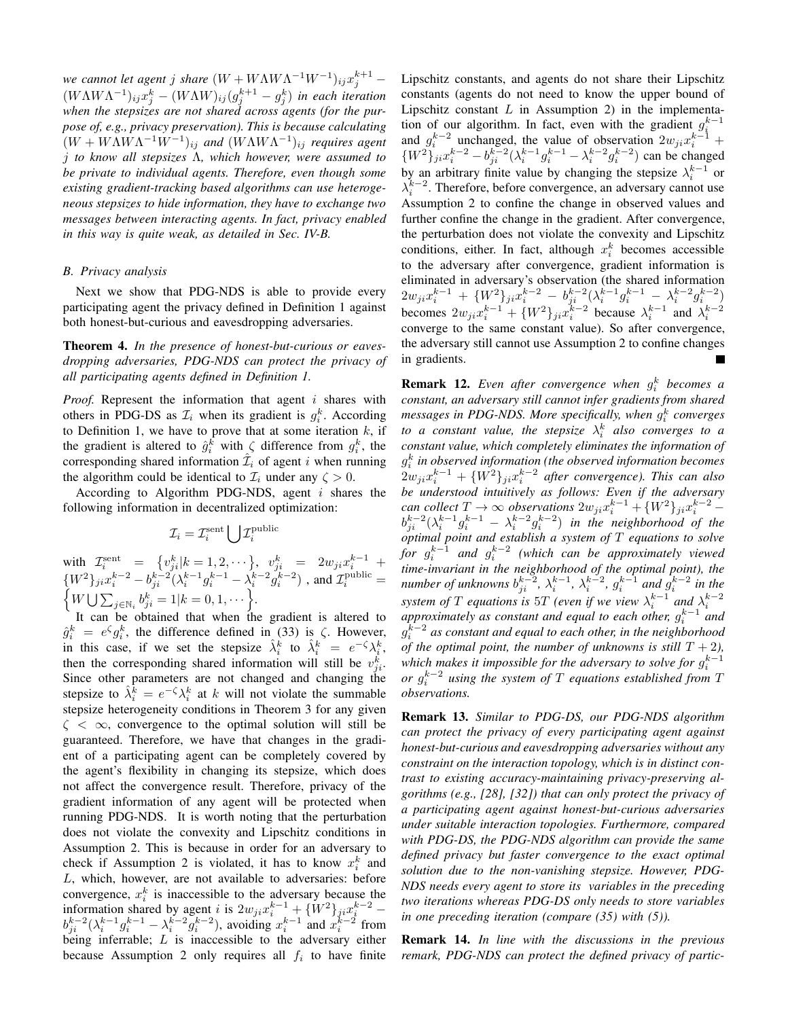*we cannot let agent j share*  $(W + W\Lambda W\Lambda^{-1}W^{-1})_{ij}x_j^{k+1}$  –  $(W\Lambda W\Lambda^{-1})_{ij}x_j^k - (W\Lambda W)_{ij}(g_j^{k+1} - g_j^k)$  in each iteration *when the stepsizes are not shared across agents (for the purpose of, e.g., privacy preservation). This is because calculating*  $(W + W\Lambda W\Lambda^{-1}W^{-1})_{ij}$  and  $(W\Lambda W\Lambda^{-1})_{ij}$  requires agent j *to know all stepsizes* Λ*, which however, were assumed to be private to individual agents. Therefore, even though some existing gradient-tracking based algorithms can use heterogeneous stepsizes to hide information, they have to exchange two messages between interacting agents. In fact, privacy enabled in this way is quite weak, as detailed in Sec. IV-B.*

## *B. Privacy analysis*

Next we show that PDG-NDS is able to provide every participating agent the privacy defined in Definition 1 against both honest-but-curious and eavesdropping adversaries.

Theorem 4. *In the presence of honest-but-curious or eavesdropping adversaries, PDG-NDS can protect the privacy of all participating agents defined in Definition 1.*

*Proof.* Represent the information that agent i shares with others in PDG-DS as  $\mathcal{I}_i$  when its gradient is  $g_i^k$ . According to Definition 1, we have to prove that at some iteration  $k$ , if the gradient is altered to  $\hat{g}_i^k$  with  $\zeta$  difference from  $g_i^k$ , the corresponding shared information  $\hat{\mathcal{I}}_i$  of agent i when running the algorithm could be identical to  $\mathcal{I}_i$  under any  $\zeta > 0$ .

According to Algorithm PDG-NDS, agent  $i$  shares the following information in decentralized optimization:

$$
\mathcal{I}_i = \mathcal{I}_i^{\text{sent}} \bigcup \mathcal{I}_i^{\text{public}}
$$

with  $\mathcal{I}_i^{\text{sent}} = \{v_{ji}^k | k = 1, 2, \cdots\},\ v_{ji}^k = 2w_{ji}x_{i,j}^{k-1} +$  $\{W^2\}_{ji} x_i^{k-2} - b_{ji}^{k-2} (\lambda_i^{k-1} g_i^{k-1} - \lambda_i^{k-2} g_i^{k-2})$ , and  $\mathcal{I}_i^{\text{public}} = \{W \mid \sum_{i \in \mathbb{N}} b_i^k = 1 | k = 0, 1, \dots\}$  $W\bigcup \sum_{j\in\mathbb{N}_i}b_{ji}^k=1|k=0,1,\cdots\bigg\}.$ 

It can be obtained that when the gradient is altered to  $\hat{g}_i^k = e^{\zeta} g_i^k$ , the difference defined in (33) is  $\zeta$ . However, in this case, if we set the stepsize  $\hat{\lambda}_i^k$  to  $\hat{\lambda}_i^k = e^{-\zeta} \lambda_i^k$ , then the corresponding shared information will still be  $v_{ji}^k$ . Since other parameters are not changed and changing the stepsize to  $\hat{\lambda}_i^{\overline{k}} = e^{-\zeta} \lambda_i^k$  at k will not violate the summable stepsize heterogeneity conditions in Theorem 3 for any given  $\zeta \leq \infty$ , convergence to the optimal solution will still be guaranteed. Therefore, we have that changes in the gradient of a participating agent can be completely covered by the agent's flexibility in changing its stepsize, which does not affect the convergence result. Therefore, privacy of the gradient information of any agent will be protected when running PDG-NDS. It is worth noting that the perturbation does not violate the convexity and Lipschitz conditions in Assumption 2. This is because in order for an adversary to check if Assumption 2 is violated, it has to know  $x_i^k$  and L, which, however, are not available to adversaries: before convergence,  $x_i^k$  is inaccessible to the adversary because the information shared by agent *i* is  $2w_{ji}x_i^{k-1} + {W^2}\}_{ji}x_j^{k-2}$  $b_{j}^{k-2}(\lambda_i^{k-1}g_i^{k-1}-\lambda_i^{k-2}g_i^{k-2})$ , avoiding  $x_i^{k-1}$  and  $x_i^{k-2}$  from being inferrable; L is inaccessible to the adversary either because Assumption 2 only requires all  $f_i$  to have finite

Lipschitz constants, and agents do not share their Lipschitz constants (agents do not need to know the upper bound of Lipschitz constant  $L$  in Assumption 2) in the implementation of our algorithm. In fact, even with the gradient  $g_i^{k-1}$ from of our algorithm. In fact, even with the gradient  $y_i$ <br>and  $g_i^{k-2}$  unchanged, the value of observation  $2w_{ji}x_i^{k-1}$  $\{W^2\}_{j\,}^{i}x_i^{k-2} - b_{ji}^{k-2}(\lambda_i^{k-1}g_i^{k-1} - \lambda_i^{k-2}g_i^{k-2})$  can be changed by an arbitrary finite value by changing the stepsize  $\lambda_i^{k-1}$  or  $\lambda_i^{k-2}$ . Therefore, before convergence, an adversary cannot use Assumption 2 to confine the change in observed values and further confine the change in the gradient. After convergence, the perturbation does not violate the convexity and Lipschitz conditions, either. In fact, although  $x_i^k$  becomes accessible to the adversary after convergence, gradient information is eliminated in adversary's observation (the shared information  $2w_{ji}x_i^{k-1} + \{W^2\}_{ji}x_i^{k-2} - b_{ji}^{k-2}(\lambda_i^{k-1}g_i^{k-1} - \lambda_i^{k-2}g_i^{k-2})$ becomes  $2w_{ji}x_i^{k-1} + \{W^2\}_{ji}x_i^{k-2}$  because  $\lambda_i^{k-1}$  and  $\lambda_i^{k-2}$ converge to the same constant value). So after convergence, the adversary still cannot use Assumption 2 to confine changes in gradients.

**Remark 12.** Even after convergence when  $g_i^k$  becomes a *constant, an adversary still cannot infer gradients from shared* messages in PDG-NDS. More specifically, when  $g_i^k$  converges *to a constant value, the stepsize*  $\lambda_i^k$  *also converges to a constant value, which completely eliminates the information of* g k *in observed information (the observed information becomes*  $2w_{ji}x_i^{k-1} + \{W^2\}_{ji}x_i^{k-2}$  after convergence). This can also *be understood intuitively as follows: Even if the adversary* can collect  $T \to \infty$  observations  $2w_{ji}x_i^{k-1} + \{W^2\}_{ji}x_i^{k-2}$  $b_{ji}^{k-2}(\lambda_i^{k-1}g_i^{k-1}-\lambda_i^{k-2}g_i^{k-2})$  in the neighborhood of the *optimal point and establish a system of* T *equations to solve* for  $g_i^{k-1}$  and  $g_i^{k-2}$  (which can be approximately viewed *time-invariant in the neighborhood of the optimal point), the number of unknowns*  $b_{ji}^{k-2}$ ,  $\lambda_i^{k-1}$ ,  $\lambda_i^{k-2}$ ,  $g_i^{k-1}$  and  $g_i^{k-2}$  in the *system of*  $T$  *equations is*  $5T$  *(even if we view*  $\lambda_i^{k-1}$  *and*  $\lambda_i^{k-2}$ approximately as constant and equal to each other,  $g_i^{k-1}$  and  $ap$ *i*  $g_k^{k-2}$  as constant and equal to each other, in the neighborhood *of the optimal point, the number of unknowns is still*  $T + 2$ *),* which makes it impossible for the adversary to solve for  $g_i^{k-1}$ *or*  $g_i^{k-2}$  *using the system of* T *equations established from* T *observations.*

Remark 13. *Similar to PDG-DS, our PDG-NDS algorithm can protect the privacy of every participating agent against honest-but-curious and eavesdropping adversaries without any constraint on the interaction topology, which is in distinct contrast to existing accuracy-maintaining privacy-preserving algorithms (e.g., [28], [32]) that can only protect the privacy of a participating agent against honest-but-curious adversaries under suitable interaction topologies. Furthermore, compared with PDG-DS, the PDG-NDS algorithm can provide the same defined privacy but faster convergence to the exact optimal solution due to the non-vanishing stepsize. However, PDG-NDS needs every agent to store its variables in the preceding two iterations whereas PDG-DS only needs to store variables in one preceding iteration (compare (35) with (5)).*

Remark 14. *In line with the discussions in the previous remark, PDG-NDS can protect the defined privacy of partic-*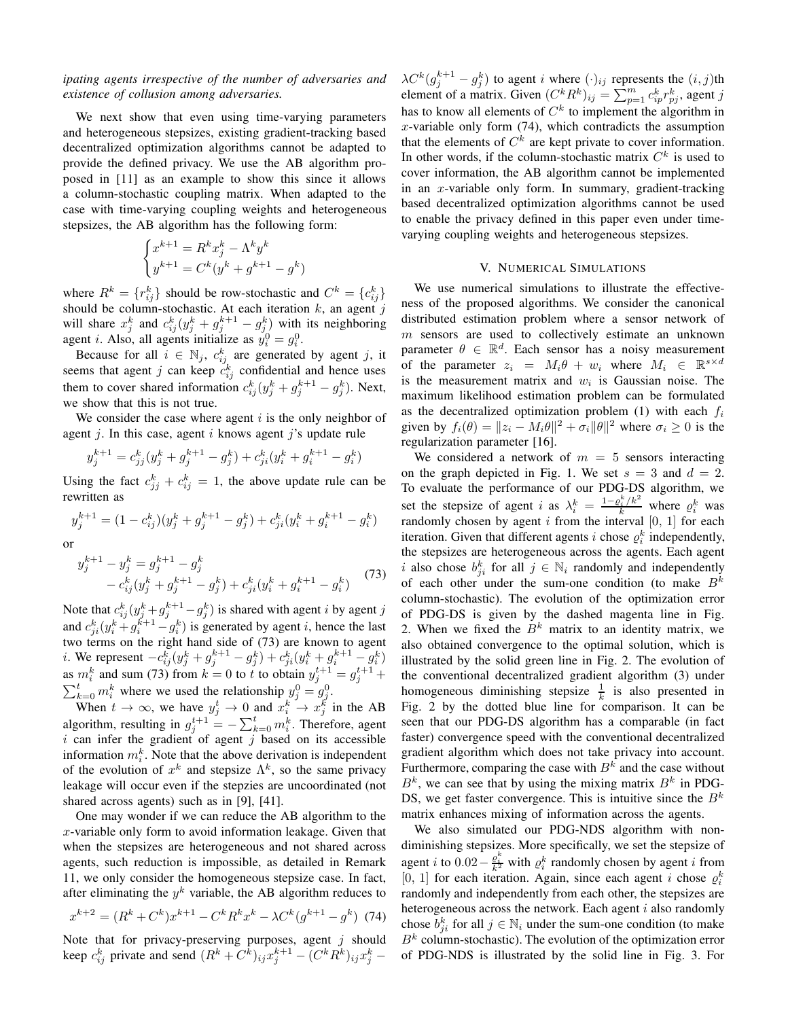*ipating agents irrespective of the number of adversaries and existence of collusion among adversaries.*

We next show that even using time-varying parameters and heterogeneous stepsizes, existing gradient-tracking based decentralized optimization algorithms cannot be adapted to provide the defined privacy. We use the AB algorithm proposed in [11] as an example to show this since it allows a column-stochastic coupling matrix. When adapted to the case with time-varying coupling weights and heterogeneous stepsizes, the AB algorithm has the following form:

$$
\begin{cases} x^{k+1} = R^k x_j^k - \Lambda^k y^k \\ y^{k+1} = C^k (y^k + g^{k+1} - g^k) \end{cases}
$$

)

where  $R^k = \{r_{ij}^k\}$  should be row-stochastic and  $C^k = \{c_{ij}^k\}$ should be column-stochastic. At each iteration  $k$ , an agent j will share  $x_j^k$  and  $c_{ij}^k(y_j^k + g_j^{k+1} - g_{j}^k)$  with its neighboring agent *i*. Also, all agents initialize as  $y_i^0 = g_i^0$ .

Because for all  $i \in \mathbb{N}_j$ ,  $c_{ij}^k$  are generated by agent j, it seems that agent j can keep  $c_{ij}^k$  confidential and hence uses them to cover shared information  $c_{ij}^k(y_j^k + g_j^{k+1} - g_j^k)$ . Next, we show that this is not true.

We consider the case where agent  $i$  is the only neighbor of agent j. In this case, agent i knows agent j's update rule

$$
y_j^{k+1} = c_{jj}^k (y_j^k + g_j^{k+1} - g_j^k) + c_{ji}^k (y_i^k + g_i^{k+1} - g_i^k)
$$

Using the fact  $c_{jj}^k + c_{ij}^k = 1$ , the above update rule can be rewritten as

$$
y_j^{k+1} = (1 - c_{ij}^k)(y_j^k + g_j^{k+1} - g_j^k) + c_{ji}^k(y_i^k + g_i^{k+1} - g_i^k)
$$

or

$$
y_j^{k+1} - y_j^k = g_j^{k+1} - g_j^k
$$
  
-  $c_{ij}^k (y_j^k + g_j^{k+1} - g_j^k) + c_{ji}^k (y_i^k + g_i^{k+1} - g_i^k)$  (73)

Note that  $c_{ij}^k(y_j^k+g_j^{k+1}-g_j^k)$  is shared with agent *i* by agent *j* and  $c_{ji}^k(y_i^k + g_i^{k+1} - g_i^k)$  is generated by agent *i*, hence the last two terms on the right hand side of (73) are known to agent *i*. We represent  $-c_{ij}^k(y_j^k + g_j^{k+1} - g_j^k) + c_{ji}^k(y_i^k + g_i^{k+1} - g_i^k)$ as  $m_i^k$  and sum (73) from  $k = 0$  to t to obtain  $y_j^{t+1} = g_j^{t+1}$  +  $\sum_{k=0}^{t} m_i^k$  where we used the relationship  $y_j^0 = g_j^0$ .

When  $t \to \infty$ , we have  $y_j^t \to 0$  and  $x_i^k \to x_j^k$  in the AB algorithm, resulting in  $g_j^{t+1} = -\sum_{k=0}^t m_i^k$ . Therefore, agent  $i$  can infer the gradient of agent  $j$  based on its accessible information  $m_i^k$ . Note that the above derivation is independent of the evolution of  $x^k$  and stepsize  $\Lambda^k$ , so the same privacy leakage will occur even if the stepzies are uncoordinated (not shared across agents) such as in [9], [41].

One may wonder if we can reduce the AB algorithm to the x-variable only form to avoid information leakage. Given that when the stepsizes are heterogeneous and not shared across agents, such reduction is impossible, as detailed in Remark 11, we only consider the homogeneous stepsize case. In fact, after eliminating the  $y^k$  variable, the AB algorithm reduces to

$$
x^{k+2} = (R^k + C^k)x^{k+1} - C^k R^k x^k - \lambda C^k (g^{k+1} - g^k)
$$
 (74)

Note that for privacy-preserving purposes, agent  $j$  should keep  $c_{ij}^k$  private and send  $(R^k + C^k)_{ij}x_j^{k+1} - (C^k R^k)_{ij}x_j^k$  –

 $\lambda C^k (g_j^{k+1} - g_j^k)$  to agent i where  $(\cdot)_{ij}$  represents the  $(i, j)$ th element of a matrix. Given  $(C^k R^k)_{ij} = \sum_{p=1}^m c_{ip}^k r_{pj}^k$ , agent j has to know all elements of  $C<sup>k</sup>$  to implement the algorithm in  $x$ -variable only form (74), which contradicts the assumption that the elements of  $C^k$  are kept private to cover information. In other words, if the column-stochastic matrix  $C<sup>k</sup>$  is used to cover information, the AB algorithm cannot be implemented in an  $x$ -variable only form. In summary, gradient-tracking based decentralized optimization algorithms cannot be used to enable the privacy defined in this paper even under timevarying coupling weights and heterogeneous stepsizes.

#### V. NUMERICAL SIMULATIONS

We use numerical simulations to illustrate the effectiveness of the proposed algorithms. We consider the canonical distributed estimation problem where a sensor network of  $m$  sensors are used to collectively estimate an unknown parameter  $\theta \in \mathbb{R}^d$ . Each sensor has a noisy measurement of the parameter  $z_i = M_i \theta + w_i$  where  $M_i \in \mathbb{R}^{s \times d}$ is the measurement matrix and  $w_i$  is Gaussian noise. The maximum likelihood estimation problem can be formulated as the decentralized optimization problem (1) with each  $f_i$ given by  $f_i(\theta) = ||z_i - M_i \theta||^2 + \sigma_i ||\theta||^2$  where  $\sigma_i \ge 0$  is the regularization parameter [16].

We considered a network of  $m = 5$  sensors interacting on the graph depicted in Fig. 1. We set  $s = 3$  and  $d = 2$ . To evaluate the performance of our PDG-DS algorithm, we set the stepsize of agent i as  $\lambda_i^k = \frac{1-\rho_i^k/k^2}{k}$  where  $\rho_i^k$  was randomly chosen by agent  $i$  from the interval  $[0, 1]$  for each iteration. Given that different agents *i* chose  $\rho_i^k$  independently, the stepsizes are heterogeneous across the agents. Each agent i also chose  $b_{ji}^k$  for all  $j \in \mathbb{N}_i$  randomly and independently of each other under the sum-one condition (to make  $B^k$ column-stochastic). The evolution of the optimization error of PDG-DS is given by the dashed magenta line in Fig. 2. When we fixed the  $B<sup>k</sup>$  matrix to an identity matrix, we also obtained convergence to the optimal solution, which is illustrated by the solid green line in Fig. 2. The evolution of the conventional decentralized gradient algorithm (3) under homogeneous diminishing stepsize  $\frac{1}{k}$  is also presented in Fig. 2 by the dotted blue line for comparison. It can be seen that our PDG-DS algorithm has a comparable (in fact faster) convergence speed with the conventional decentralized gradient algorithm which does not take privacy into account. Furthermore, comparing the case with  $B<sup>k</sup>$  and the case without  $B<sup>k</sup>$ , we can see that by using the mixing matrix  $B<sup>k</sup>$  in PDG-DS, we get faster convergence. This is intuitive since the  $B^k$ matrix enhances mixing of information across the agents.

We also simulated our PDG-NDS algorithm with nondiminishing stepsizes. More specifically, we set the stepsize of agent *i* to  $0.02 - \frac{e_i^k}{k^2}$  with  $e_i^k$  randomly chosen by agent *i* from [0, 1] for each iteration. Again, since each agent i chose  $\rho_i^k$ randomly and independently from each other, the stepsizes are heterogeneous across the network. Each agent  $i$  also randomly chose  $b_{ji}^k$  for all  $j \in \mathbb{N}_i$  under the sum-one condition (to make  $B<sup>k</sup>$  column-stochastic). The evolution of the optimization error of PDG-NDS is illustrated by the solid line in Fig. 3. For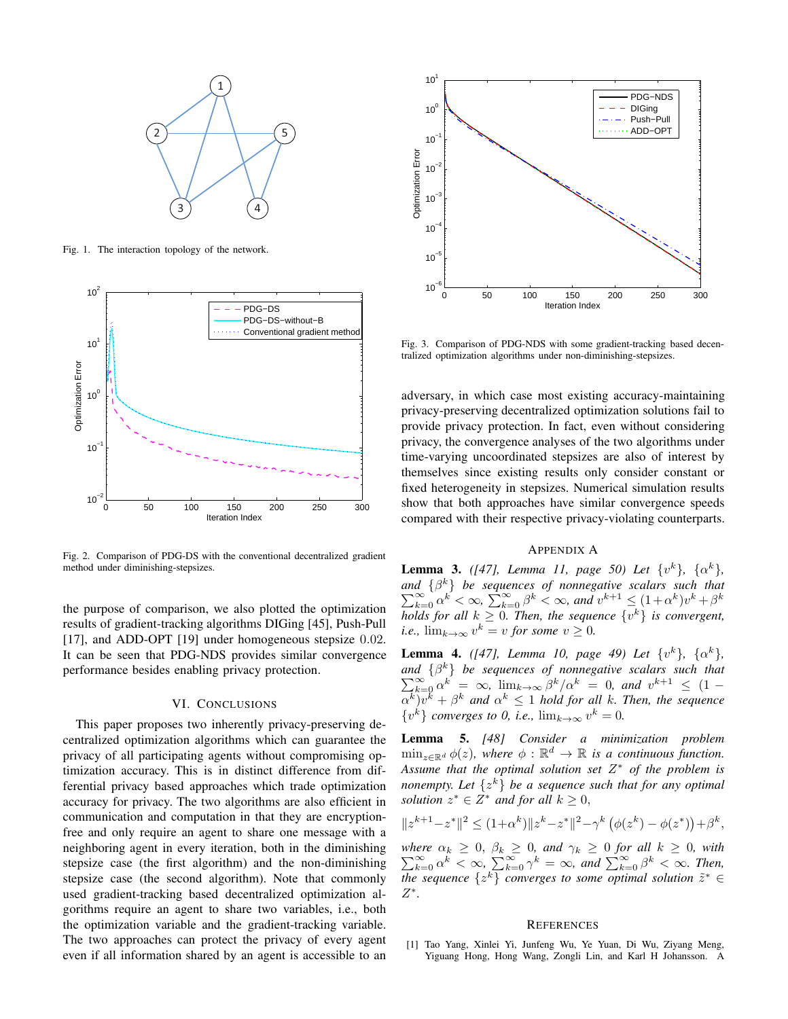

Fig. 1. The interaction topology of the network.



Fig. 2. Comparison of PDG-DS with the conventional decentralized gradient method under diminishing-stepsizes.

the purpose of comparison, we also plotted the optimization results of gradient-tracking algorithms DIGing [45], Push-Pull [17], and ADD-OPT [19] under homogeneous stepsize 0.02. It can be seen that PDG-NDS provides similar convergence performance besides enabling privacy protection.

## VI. CONCLUSIONS

This paper proposes two inherently privacy-preserving decentralized optimization algorithms which can guarantee the privacy of all participating agents without compromising optimization accuracy. This is in distinct difference from differential privacy based approaches which trade optimization accuracy for privacy. The two algorithms are also efficient in communication and computation in that they are encryptionfree and only require an agent to share one message with a neighboring agent in every iteration, both in the diminishing stepsize case (the first algorithm) and the non-diminishing stepsize case (the second algorithm). Note that commonly used gradient-tracking based decentralized optimization algorithms require an agent to share two variables, i.e., both the optimization variable and the gradient-tracking variable. The two approaches can protect the privacy of every agent even if all information shared by an agent is accessible to an



Fig. 3. Comparison of PDG-NDS with some gradient-tracking based decentralized optimization algorithms under non-diminishing-stepsizes.

adversary, in which case most existing accuracy-maintaining privacy-preserving decentralized optimization solutions fail to provide privacy protection. In fact, even without considering privacy, the convergence analyses of the two algorithms under time-varying uncoordinated stepsizes are also of interest by themselves since existing results only consider constant or fixed heterogeneity in stepsizes. Numerical simulation results show that both approaches have similar convergence speeds compared with their respective privacy-violating counterparts.

### APPENDIX A

**Lemma 3.** *([47], Lemma 11, page 50) Let*  $\{v^k\}$ ,  $\{\alpha^k\}$ , *and*  $\{ \beta^k \}$  $\sum$ *b*  $\begin{cases} d \ \{ \beta^k \} \ \text{be sequences of nonnegative scalars such that} \\ \sum_{k=0}^{\infty} \alpha^k < \infty, \\ \sum_{k=0}^{\infty} \beta^k < \infty, \text{ and } v^{k+1} \leq (1+\alpha^k)v^k + \beta^k \end{cases}$ *holds for all*  $k \geq 0$ *. Then, the sequence*  $\{v^k\}$  *is convergent, i.e.*,  $\lim_{k\to\infty} v^k = v$  *for some*  $v \geq 0$ *.* 

**Lemma 4.** *([47], Lemma 10, page 49) Let*  $\{v^k\}$ ,  $\{\alpha^k\}$ , *and*  $\{\beta^k\}$  $\sum$  $d \{\beta^k\}$  be sequences of nonnegative scalars such that<br>  $\sum_{k=0}^{\infty} \alpha^k = \infty$ ,  $\lim_{k \to \infty} \beta^k / \alpha^k = 0$ , and  $v^{k+1} \leq (1 \{\alpha^k\}v^k + \beta^k$  and  $\alpha^k \leq 1$  hold for all k*. Then, the sequence*  $\{v^k\}$  *converges to 0, i.e.,*  $\lim_{k\to\infty} v^k = 0$ *.* 

Lemma 5. *[48] Consider a minimization problem*  $\min_{z \in \mathbb{R}^d} \phi(z)$ , where  $\phi : \mathbb{R}^d \to \mathbb{R}$  *is a continuous function. Assume that the optimal solution set* Z ∗ *of the problem is nonempty. Let* {z <sup>k</sup>} *be a sequence such that for any optimal solution*  $z^* \in Z^*$  *and for all*  $k \geq 0$ ,

$$
||z^{k+1} - z^*||^2 \le (1 + \alpha^k) ||z^k - z^*||^2 - \gamma^k (\phi(z^k) - \phi(z^*)) + \beta^k,
$$

*where*  $\sum$  $\alpha_k \geq 0, \ \beta_k \geq 0, \ and \ \gamma_k \geq 0 \ for \ all \ k \geq 0, \ with \ \infty \\ \sum_{k=0}^{\infty} \alpha^k < \infty, \ \sum_{k=0}^{\infty} \gamma^k = \infty, \ and \ \sum_{k=0}^{\infty} \beta^k < \infty.$  Then, *the sequence*  $\{z^k\}$  *converges to some optimal solution*  $\tilde{z}^* \in$ Z ∗ *.*

#### **REFERENCES**

[1] Tao Yang, Xinlei Yi, Junfeng Wu, Ye Yuan, Di Wu, Ziyang Meng, Yiguang Hong, Hong Wang, Zongli Lin, and Karl H Johansson. A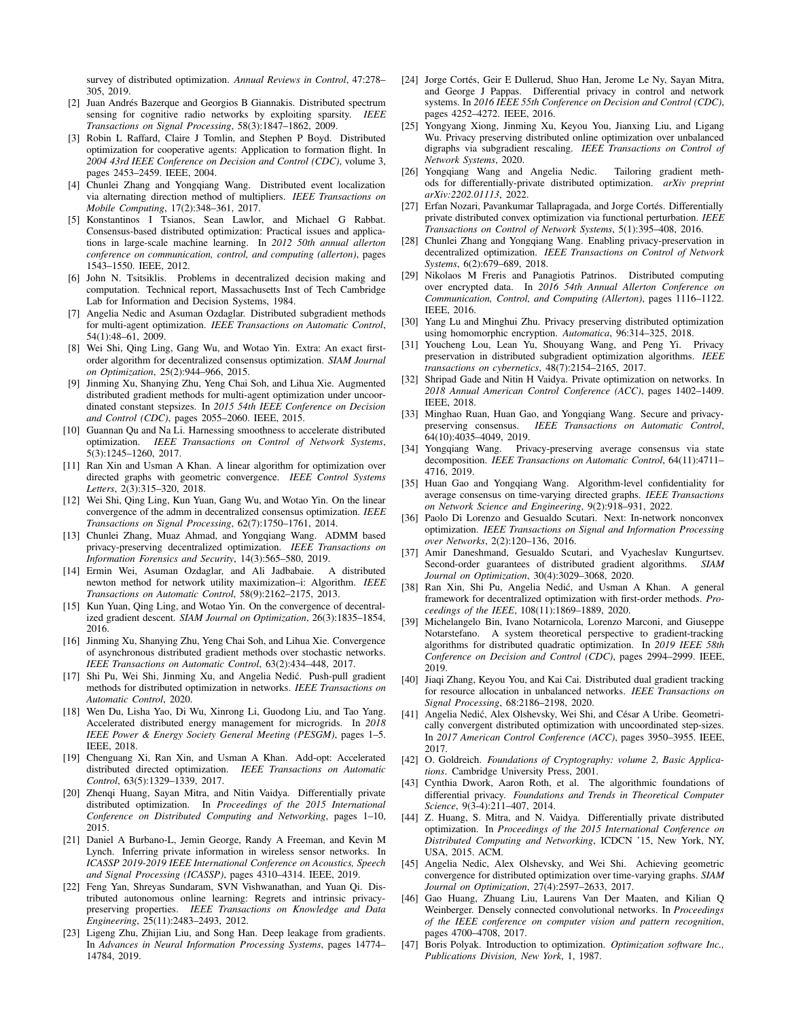survey of distributed optimization. *Annual Reviews in Control*, 47:278– 305, 2019.

- [2] Juan Andrés Bazerque and Georgios B Giannakis. Distributed spectrum sensing for cognitive radio networks by exploiting sparsity. *IEEE Transactions on Signal Processing*, 58(3):1847–1862, 2009.
- [3] Robin L Raffard, Claire J Tomlin, and Stephen P Boyd. Distributed optimization for cooperative agents: Application to formation flight. In *2004 43rd IEEE Conference on Decision and Control (CDC)*, volume 3, pages 2453–2459. IEEE, 2004.
- [4] Chunlei Zhang and Yongqiang Wang. Distributed event localization via alternating direction method of multipliers. *IEEE Transactions on Mobile Computing*, 17(2):348–361, 2017.
- [5] Konstantinos I Tsianos, Sean Lawlor, and Michael G Rabbat. Consensus-based distributed optimization: Practical issues and applications in large-scale machine learning. In *2012 50th annual allerton conference on communication, control, and computing (allerton)*, pages 1543–1550. IEEE, 2012.
- [6] John N. Tsitsiklis. Problems in decentralized decision making and computation. Technical report, Massachusetts Inst of Tech Cambridge Lab for Information and Decision Systems, 1984.
- [7] Angelia Nedic and Asuman Ozdaglar. Distributed subgradient methods for multi-agent optimization. *IEEE Transactions on Automatic Control*, 54(1):48–61, 2009.
- [8] Wei Shi, Qing Ling, Gang Wu, and Wotao Yin. Extra: An exact firstorder algorithm for decentralized consensus optimization. *SIAM Journal on Optimization*, 25(2):944–966, 2015.
- [9] Jinming Xu, Shanying Zhu, Yeng Chai Soh, and Lihua Xie. Augmented distributed gradient methods for multi-agent optimization under uncoordinated constant stepsizes. In *2015 54th IEEE Conference on Decision and Control (CDC)*, pages 2055–2060. IEEE, 2015.
- [10] Guannan Qu and Na Li. Harnessing smoothness to accelerate distributed optimization. *IEEE Transactions on Control of Network Systems*,  $5(3):1245-1260, 2017.$
- [11] Ran Xin and Usman A Khan. A linear algorithm for optimization over directed graphs with geometric convergence. *IEEE Control Systems Letters*, 2(3):315–320, 2018.
- [12] Wei Shi, Qing Ling, Kun Yuan, Gang Wu, and Wotao Yin. On the linear convergence of the admm in decentralized consensus optimization. *IEEE Transactions on Signal Processing*, 62(7):1750–1761, 2014.
- [13] Chunlei Zhang, Muaz Ahmad, and Yongqiang Wang. ADMM based privacy-preserving decentralized optimization. *IEEE Transactions on Information Forensics and Security*, 14(3):565–580, 2019.
- [14] Ermin Wei, Asuman Ozdaglar, and Ali Jadbabaie. A distributed newton method for network utility maximization–i: Algorithm. *IEEE Transactions on Automatic Control*, 58(9):2162–2175, 2013.
- [15] Kun Yuan, Qing Ling, and Wotao Yin. On the convergence of decentralized gradient descent. *SIAM Journal on Optimization*, 26(3):1835–1854, 2016.
- [16] Jinming Xu, Shanying Zhu, Yeng Chai Soh, and Lihua Xie. Convergence of asynchronous distributed gradient methods over stochastic networks. *IEEE Transactions on Automatic Control*, 63(2):434–448, 2017.
- [17] Shi Pu, Wei Shi, Jinming Xu, and Angelia Nedić. Push-pull gradient methods for distributed optimization in networks. *IEEE Transactions on Automatic Control*, 2020.
- [18] Wen Du, Lisha Yao, Di Wu, Xinrong Li, Guodong Liu, and Tao Yang. Accelerated distributed energy management for microgrids. In *2018 IEEE Power & Energy Society General Meeting (PESGM)*, pages 1–5. IEEE, 2018.
- [19] Chenguang Xi, Ran Xin, and Usman A Khan. Add-opt: Accelerated distributed directed optimization. *IEEE Transactions on Automatic Control*, 63(5):1329–1339, 2017.
- [20] Zhenqi Huang, Sayan Mitra, and Nitin Vaidya. Differentially private distributed optimization. In *Proceedings of the 2015 International Conference on Distributed Computing and Networking*, pages 1–10, 2015.
- [21] Daniel A Burbano-L, Jemin George, Randy A Freeman, and Kevin M Lynch. Inferring private information in wireless sensor networks. In *ICASSP 2019-2019 IEEE International Conference on Acoustics, Speech and Signal Processing (ICASSP)*, pages 4310–4314. IEEE, 2019.
- [22] Feng Yan, Shreyas Sundaram, SVN Vishwanathan, and Yuan Qi. Distributed autonomous online learning: Regrets and intrinsic privacypreserving properties. *IEEE Transactions on Knowledge and Data Engineering*, 25(11):2483–2493, 2012.
- [23] Ligeng Zhu, Zhijian Liu, and Song Han. Deep leakage from gradients. In *Advances in Neural Information Processing Systems*, pages 14774– 14784, 2019.
- [24] Jorge Cortés, Geir E Dullerud, Shuo Han, Jerome Le Ny, Sayan Mitra, and George J Pappas. Differential privacy in control and network systems. In *2016 IEEE 55th Conference on Decision and Control (CDC)*, pages 4252–4272. IEEE, 2016.
- [25] Yongyang Xiong, Jinming Xu, Keyou You, Jianxing Liu, and Ligang Wu. Privacy preserving distributed online optimization over unbalanced digraphs via subgradient rescaling. *IEEE Transactions on Control of Network Systems*, 2020.
- [26] Yongqiang Wang and Angelia Nedic. Tailoring gradient methods for differentially-private distributed optimization. *arXiv preprint arXiv:2202.01113*, 2022.
- [27] Erfan Nozari, Pavankumar Tallapragada, and Jorge Cortés. Differentially private distributed convex optimization via functional perturbation. *IEEE Transactions on Control of Network Systems*, 5(1):395–408, 2016.
- [28] Chunlei Zhang and Yongqiang Wang. Enabling privacy-preservation in decentralized optimization. *IEEE Transactions on Control of Network Systems*, 6(2):679–689, 2018.
- [29] Nikolaos M Freris and Panagiotis Patrinos. Distributed computing over encrypted data. In *2016 54th Annual Allerton Conference on Communication, Control, and Computing (Allerton)*, pages 1116–1122. IEEE, 2016.
- [30] Yang Lu and Minghui Zhu. Privacy preserving distributed optimization using homomorphic encryption. *Automatica*, 96:314–325, 2018.
- [31] Youcheng Lou, Lean Yu, Shouyang Wang, and Peng Yi. Privacy preservation in distributed subgradient optimization algorithms. *IEEE transactions on cybernetics*, 48(7):2154–2165, 2017.
- [32] Shripad Gade and Nitin H Vaidya. Private optimization on networks. In *2018 Annual American Control Conference (ACC)*, pages 1402–1409. IEEE, 2018.
- [33] Minghao Ruan, Huan Gao, and Yongqiang Wang. Secure and privacy-<br>preserving consensus. IEEE Transactions on Automatic Control. preserving consensus. *IEEE Transactions on Automatic Control*, 64(10):4035–4049, 2019.<br>[34] Yongqiang Wang. Priv
- Privacy-preserving average consensus via state decomposition. *IEEE Transactions on Automatic Control*, 64(11):4711– 4716, 2019.
- [35] Huan Gao and Yongqiang Wang. Algorithm-level confidentiality for average consensus on time-varying directed graphs. *IEEE Transactions on Network Science and Engineering*, 9(2):918–931, 2022.
- [36] Paolo Di Lorenzo and Gesualdo Scutari. Next: In-network nonconvex optimization. *IEEE Transactions on Signal and Information Processing over Networks*, 2(2):120–136, 2016.
- [37] Amir Daneshmand, Gesualdo Scutari, and Vyacheslav Kungurtsev.<br>Second-order guarantees of distributed gradient algorithms SIAM Second-order guarantees of distributed gradient algorithms. *Journal on Optimization*, 30(4):3029–3068, 2020.
- [38] Ran Xin, Shi Pu, Angelia Nedić, and Usman A Khan. A general framework for decentralized optimization with first-order methods. *Proceedings of the IEEE*, 108(11):1869–1889, 2020.
- [39] Michelangelo Bin, Ivano Notarnicola, Lorenzo Marconi, and Giuseppe Notarstefano. A system theoretical perspective to gradient-tracking algorithms for distributed quadratic optimization. In *2019 IEEE 58th Conference on Decision and Control (CDC)*, pages 2994–2999. IEEE, 2019.
- [40] Jiaqi Zhang, Keyou You, and Kai Cai. Distributed dual gradient tracking for resource allocation in unbalanced networks. *IEEE Transactions on Signal Processing*, 68:2186–2198, 2020.
- [41] Angelia Nedić, Alex Olshevsky, Wei Shi, and César A Uribe. Geometrically convergent distributed optimization with uncoordinated step-sizes. In *2017 American Control Conference (ACC)*, pages 3950–3955. IEEE, 2017.
- [42] O. Goldreich. *Foundations of Cryptography: volume 2, Basic Applications*. Cambridge University Press, 2001.
- [43] Cynthia Dwork, Aaron Roth, et al. The algorithmic foundations of differential privacy. *Foundations and Trends in Theoretical Computer Science*, 9(3-4):211–407, 2014.
- [44] Z. Huang, S. Mitra, and N. Vaidya. Differentially private distributed optimization. In *Proceedings of the 2015 International Conference on Distributed Computing and Networking*, ICDCN '15, New York, NY, USA, 2015. ACM.
- [45] Angelia Nedic, Alex Olshevsky, and Wei Shi. Achieving geometric convergence for distributed optimization over time-varying graphs. *SIAM Journal on Optimization*, 27(4):2597–2633, 2017.
- [46] Gao Huang, Zhuang Liu, Laurens Van Der Maaten, and Kilian Q Weinberger. Densely connected convolutional networks. In *Proceedings of the IEEE conference on computer vision and pattern recognition*, pages 4700–4708, 2017.
- [47] Boris Polyak. Introduction to optimization. *Optimization software Inc., Publications Division, New York*, 1, 1987.